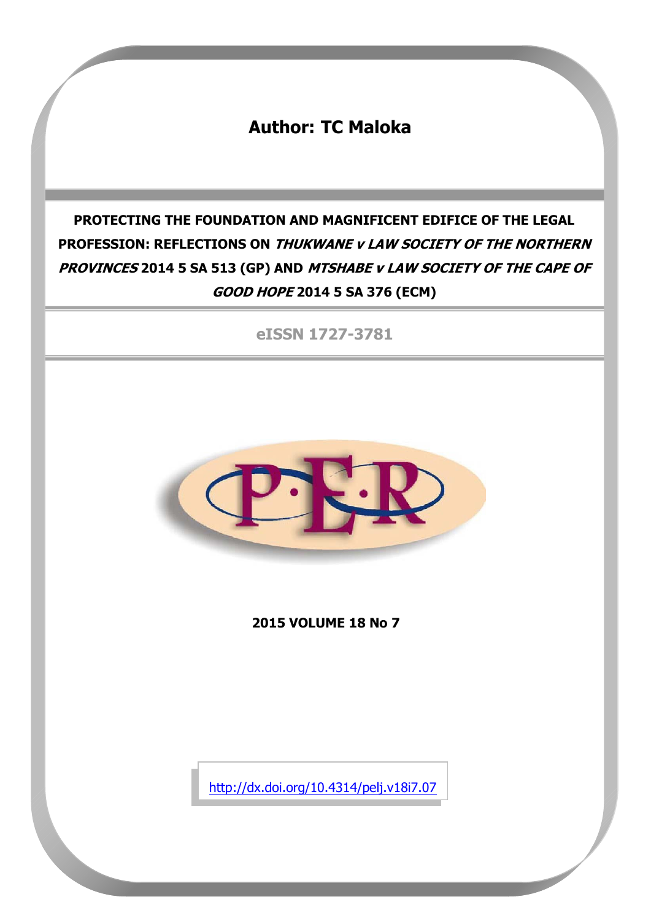# **Author: TC Maloka**

# **PROTECTING THE FOUNDATION AND MAGNIFICENT EDIFICE OF THE LEGAL PROFESSION: REFLECTIONS ON THUKWANE v LAW SOCIETY OF THE NORTHERN PROVINCES 2014 5 SA 513 (GP) AND MTSHABE v LAW SOCIETY OF THE CAPE OF GOOD HOPE 2014 5 SA 376 (ECM)**

**eISSN 1727-3781**



**2015 VOLUME 18 No 7**

<http://dx.doi.org/10.4314/pelj.v18i7.07>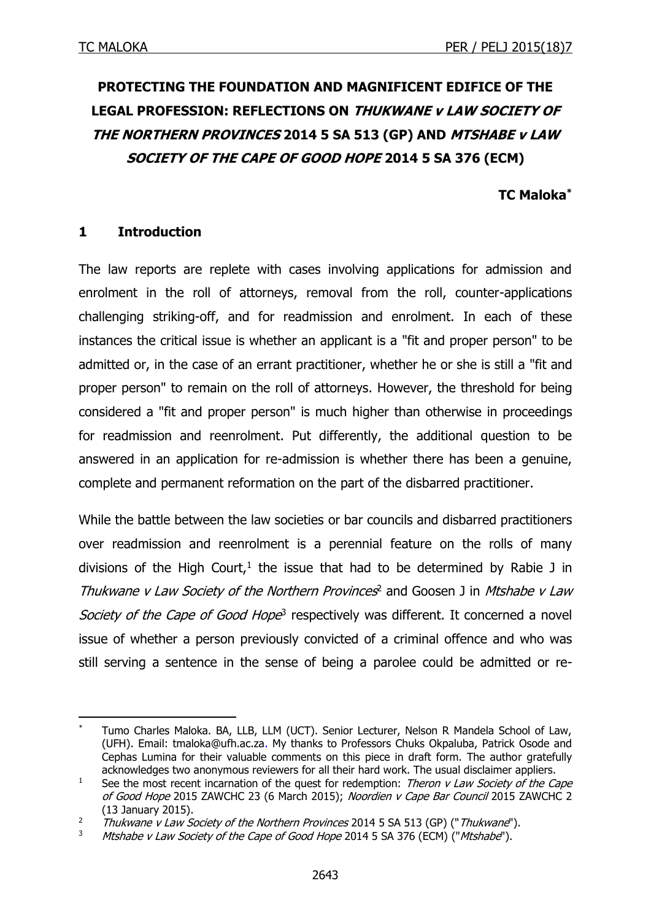# **PROTECTING THE FOUNDATION AND MAGNIFICENT EDIFICE OF THE LEGAL PROFESSION: REFLECTIONS ON THUKWANE v LAW SOCIETY OF THE NORTHERN PROVINCES 2014 5 SA 513 (GP) AND MTSHABE v LAW SOCIETY OF THE CAPE OF GOOD HOPE 2014 5 SA 376 (ECM)**

**TC Maloka\***

# **1 Introduction**

1

The law reports are replete with cases involving applications for admission and enrolment in the roll of attorneys, removal from the roll, counter-applications challenging striking-off, and for readmission and enrolment. In each of these instances the critical issue is whether an applicant is a "fit and proper person" to be admitted or, in the case of an errant practitioner, whether he or she is still a "fit and proper person" to remain on the roll of attorneys. However, the threshold for being considered a "fit and proper person" is much higher than otherwise in proceedings for readmission and reenrolment. Put differently, the additional question to be answered in an application for re-admission is whether there has been a genuine, complete and permanent reformation on the part of the disbarred practitioner.

While the battle between the law societies or bar councils and disbarred practitioners over readmission and reenrolment is a perennial feature on the rolls of many divisions of the High Court,<sup>1</sup> the issue that had to be determined by Rabie J in Thukwane v Law Society of the Northern Provinces<sup>2</sup> and Goosen J in Mtshabe v Law Society of the Cape of Good Hope<sup>3</sup> respectively was different. It concerned a novel issue of whether a person previously convicted of a criminal offence and who was still serving a sentence in the sense of being a parolee could be admitted or re-

Tumo Charles Maloka. BA, LLB, LLM (UCT). Senior Lecturer, Nelson R Mandela School of Law, (UFH). Email: tmaloka@ufh.ac.za. My thanks to Professors Chuks Okpaluba, Patrick Osode and Cephas Lumina for their valuable comments on this piece in draft form. The author gratefully acknowledges two anonymous reviewers for all their hard work. The usual disclaimer appliers.

<sup>&</sup>lt;sup>1</sup> See the most recent incarnation of the quest for redemption: *Theron v Law Society of the Cape* of Good Hope 2015 ZAWCHC 23 (6 March 2015); Noordien v Cape Bar Council 2015 ZAWCHC 2 (13 January 2015).

<sup>&</sup>lt;sup>2</sup> Thukwane v Law Society of the Northern Provinces 2014 5 SA 513 (GP) ("Thukwane").

<sup>&</sup>lt;sup>3</sup> Mtshabe v Law Society of the Cape of Good Hope 2014 5 SA 376 (ECM) ("Mtshabe").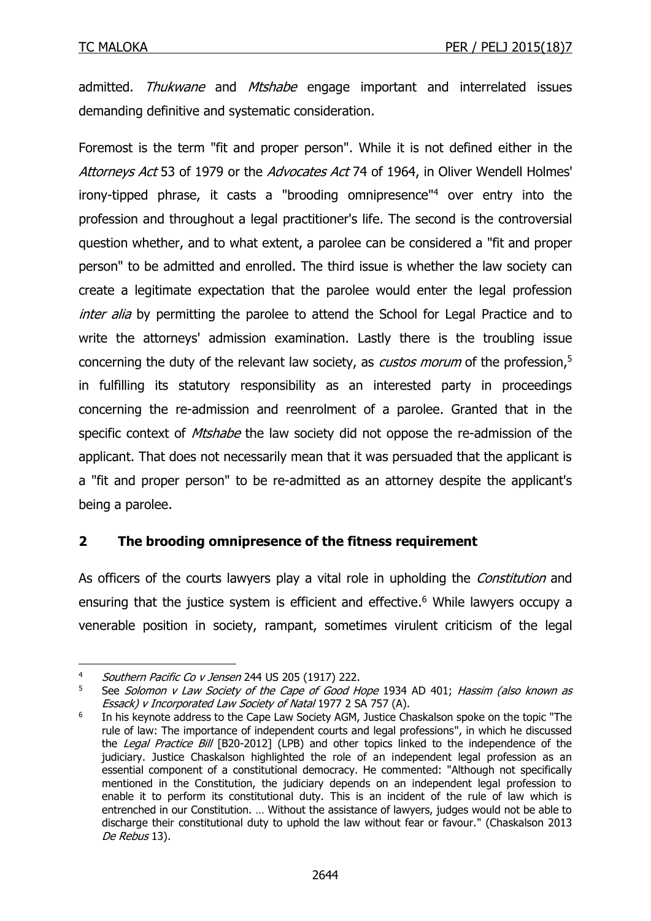admitted. Thukwane and Mtshabe engage important and interrelated issues demanding definitive and systematic consideration.

Foremost is the term "fit and proper person". While it is not defined either in the Attorneys Act 53 of 1979 or the Advocates Act 74 of 1964, in Oliver Wendell Holmes' irony-tipped phrase, it casts a "brooding omnipresence" <sup>4</sup> over entry into the profession and throughout a legal practitioner's life. The second is the controversial question whether, and to what extent, a parolee can be considered a "fit and proper person" to be admitted and enrolled. The third issue is whether the law society can create a legitimate expectation that the parolee would enter the legal profession inter alia by permitting the parolee to attend the School for Legal Practice and to write the attorneys' admission examination. Lastly there is the troubling issue concerning the duty of the relevant law society, as *custos morum* of the profession,<sup>5</sup> in fulfilling its statutory responsibility as an interested party in proceedings concerning the re-admission and reenrolment of a parolee. Granted that in the specific context of *Mtshabe* the law society did not oppose the re-admission of the applicant. That does not necessarily mean that it was persuaded that the applicant is a "fit and proper person" to be re-admitted as an attorney despite the applicant's being a parolee.

# **2 The brooding omnipresence of the fitness requirement**

As officers of the courts lawyers play a vital role in upholding the *Constitution* and ensuring that the justice system is efficient and effective. <sup>6</sup> While lawyers occupy a venerable position in society, rampant, sometimes virulent criticism of the legal

1

<sup>4</sup> Southern Pacific Co v Jensen 244 US 205 (1917) 222.<br>5 See Solomon v Law Society of the Cane of Good H

See Solomon v Law Society of the Cape of Good Hope 1934 AD 401; Hassim (also known as Essack) v Incorporated Law Society of Natal 1977 2 SA 757 (A).

<sup>6</sup> In his keynote address to the Cape Law Society AGM, Justice Chaskalson spoke on the topic "The rule of law: The importance of independent courts and legal professions", in which he discussed the Legal Practice Bill [B20-2012] (LPB) and other topics linked to the independence of the judiciary. Justice Chaskalson highlighted the role of an independent legal profession as an essential component of a constitutional democracy. He commented: "Although not specifically mentioned in the Constitution, the judiciary depends on an independent legal profession to enable it to perform its constitutional duty. This is an incident of the rule of law which is entrenched in our Constitution. … Without the assistance of lawyers, judges would not be able to discharge their constitutional duty to uphold the law without fear or favour." (Chaskalson 2013 De Rebus 13).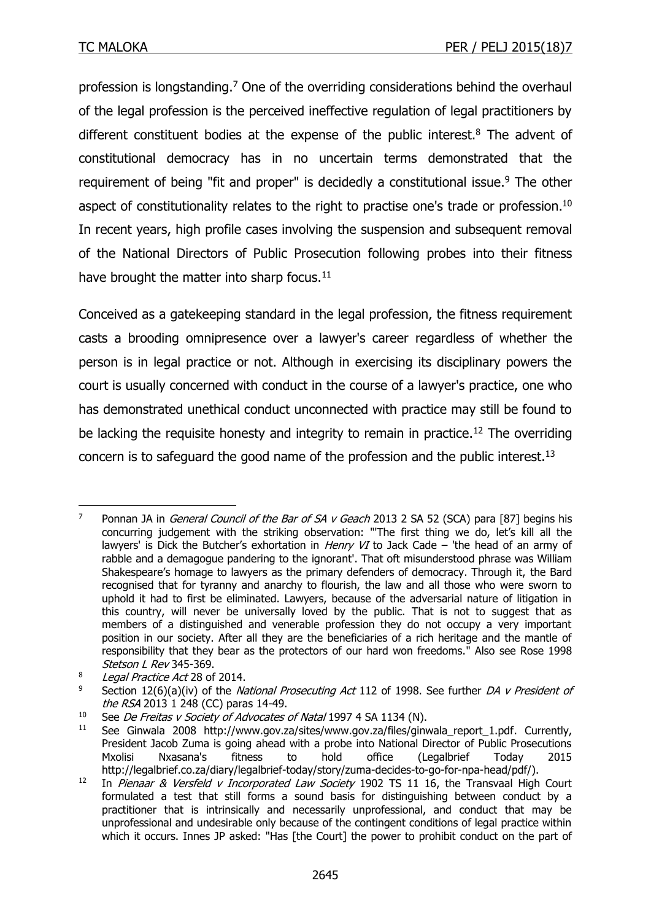profession is longstanding.<sup>7</sup> One of the overriding considerations behind the overhaul of the legal profession is the perceived ineffective regulation of legal practitioners by different constituent bodies at the expense of the public interest.<sup>8</sup> The advent of constitutional democracy has in no uncertain terms demonstrated that the requirement of being "fit and proper" is decidedly a constitutional issue. $9$  The other aspect of constitutionality relates to the right to practise one's trade or profession.<sup>10</sup> In recent years, high profile cases involving the suspension and subsequent removal of the National Directors of Public Prosecution following probes into their fitness have brought the matter into sharp focus.<sup>11</sup>

Conceived as a gatekeeping standard in the legal profession, the fitness requirement casts a brooding omnipresence over a lawyer's career regardless of whether the person is in legal practice or not. Although in exercising its disciplinary powers the court is usually concerned with conduct in the course of a lawyer's practice, one who has demonstrated unethical conduct unconnected with practice may still be found to be lacking the requisite honesty and integrity to remain in practice.<sup>12</sup> The overriding concern is to safeguard the good name of the profession and the public interest.<sup>13</sup>

<sup>&</sup>lt;u>.</u> <sup>7</sup> Ponnan JA in *General Council of the Bar of SA v Geach* 2013 2 SA 52 (SCA) para [87] begins his concurring judgement with the striking observation: "'The first thing we do, let's kill all the lawyers' is Dick the Butcher's exhortation in *Henry VI* to Jack Cade – 'the head of an army of rabble and a demagogue pandering to the ignorant'. That oft misunderstood phrase was William Shakespeare's homage to lawyers as the primary defenders of democracy. Through it, the Bard recognised that for tyranny and anarchy to flourish, the law and all those who were sworn to uphold it had to first be eliminated. Lawyers, because of the adversarial nature of litigation in this country, will never be universally loved by the public. That is not to suggest that as members of a distinguished and venerable profession they do not occupy a very important position in our society. After all they are the beneficiaries of a rich heritage and the mantle of responsibility that they bear as the protectors of our hard won freedoms." Also see Rose 1998 Stetson L Rev 345-369.

<sup>&</sup>lt;sup>8</sup> Legal Practice Act 28 of 2014.

<sup>9</sup> Section 12(6)(a)(iv) of the *National Prosecuting Act* 112 of 1998. See further *DA v President of* the RSA 2013 1 248 (CC) paras 14-49.

<sup>&</sup>lt;sup>10</sup> See *De Freitas v Society of Advocates of Natal* 1997 4 SA 1134 (N).

<sup>11</sup> See Ginwala 2008 http://www.gov.za/sites/www.gov.za/files/ginwala\_report\_1.pdf. Currently, President Jacob Zuma is going ahead with a probe into National Director of Public Prosecutions Mxolisi Nxasana's fitness to hold office (Legalbrief Today 2015 http://legalbrief.co.za/diary/legalbrief-today/story/zuma-decides-to-go-for-npa-head/pdf/).

<sup>&</sup>lt;sup>12</sup> In Pienaar & Versfeld v Incorporated Law Society 1902 TS 11 16, the Transvaal High Court formulated a test that still forms a sound basis for distinguishing between conduct by a practitioner that is intrinsically and necessarily unprofessional, and conduct that may be unprofessional and undesirable only because of the contingent conditions of legal practice within which it occurs. Innes JP asked: "Has [the Court] the power to prohibit conduct on the part of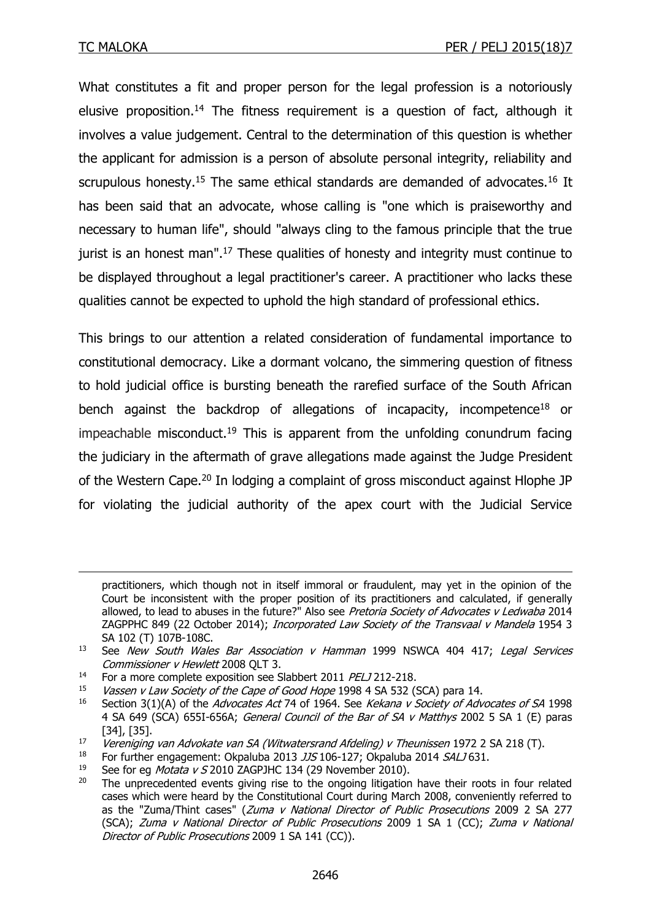<u>.</u>

What constitutes a fit and proper person for the legal profession is a notoriously elusive proposition.<sup>14</sup> The fitness requirement is a question of fact, although it involves a value judgement. Central to the determination of this question is whether the applicant for admission is a person of absolute personal integrity, reliability and scrupulous honesty.<sup>15</sup> The same ethical standards are demanded of advocates.<sup>16</sup> It has been said that an advocate, whose calling is "one which is praiseworthy and necessary to human life", should "always cling to the famous principle that the true jurist is an honest man".<sup>17</sup> These qualities of honesty and integrity must continue to be displayed throughout a legal practitioner's career. A practitioner who lacks these qualities cannot be expected to uphold the high standard of professional ethics.

This brings to our attention a related consideration of fundamental importance to constitutional democracy. Like a dormant volcano, the simmering question of fitness to hold judicial office is bursting beneath the rarefied surface of the South African bench against the backdrop of allegations of incapacity, incompetence<sup>18</sup> or impeachable misconduct.<sup>19</sup> This is apparent from the unfolding conundrum facing the judiciary in the aftermath of grave allegations made against the Judge President of the Western Cape.<sup>20</sup> In lodging a complaint of gross misconduct against Hlophe JP for violating the judicial authority of the apex court with the Judicial Service

- <sup>14</sup> For a more complete exposition see Slabbert 2011 *PELJ* 212-218.
- Vassen v Law Society of the Cape of Good Hope 1998 4 SA 532 (SCA) para 14.

practitioners, which though not in itself immoral or fraudulent, may yet in the opinion of the Court be inconsistent with the proper position of its practitioners and calculated, if generally allowed, to lead to abuses in the future?" Also see Pretoria Society of Advocates v Ledwaba 2014 ZAGPPHC 849 (22 October 2014); Incorporated Law Society of the Transvaal v Mandela 1954 3 SA 102 (T) 107B-108C.

<sup>&</sup>lt;sup>13</sup> See New South Wales Bar Association v Hamman 1999 NSWCA 404 417; Legal Services Commissioner v Hewlett 2008 QLT 3.

<sup>&</sup>lt;sup>16</sup> Section 3(1)(A) of the *Advocates Act* 74 of 1964. See *Kekana v Society of Advocates of SA* 1998 4 SA 649 (SCA) 655I-656A; General Council of the Bar of SA v Matthys 2002 5 SA 1 (E) paras [34], [35].

<sup>17</sup> Vereniging van Advokate van SA (Witwatersrand Afdeling) v Theunissen 1972 2 SA 218 (T).<br>18 Eor further engagement: Oknaluba 2013, US 106-127: Oknaluba 2014, S4/ 1631

For further engagement: Okpaluba 2013 JJS 106-127; Okpaluba 2014 SALJ 631.

<sup>&</sup>lt;sup>19</sup> See for eg *Motata v S* 2010 ZAGPJHC 134 (29 November 2010).

<sup>&</sup>lt;sup>20</sup> The unprecedented events giving rise to the ongoing litigation have their roots in four related cases which were heard by the Constitutional Court during March 2008, conveniently referred to as the "Zuma/Thint cases" (Zuma v National Director of Public Prosecutions 2009 2 SA 277 (SCA); Zuma v National Director of Public Prosecutions 2009 1 SA 1 (CC); Zuma v National Director of Public Prosecutions 2009 1 SA 141 (CC)).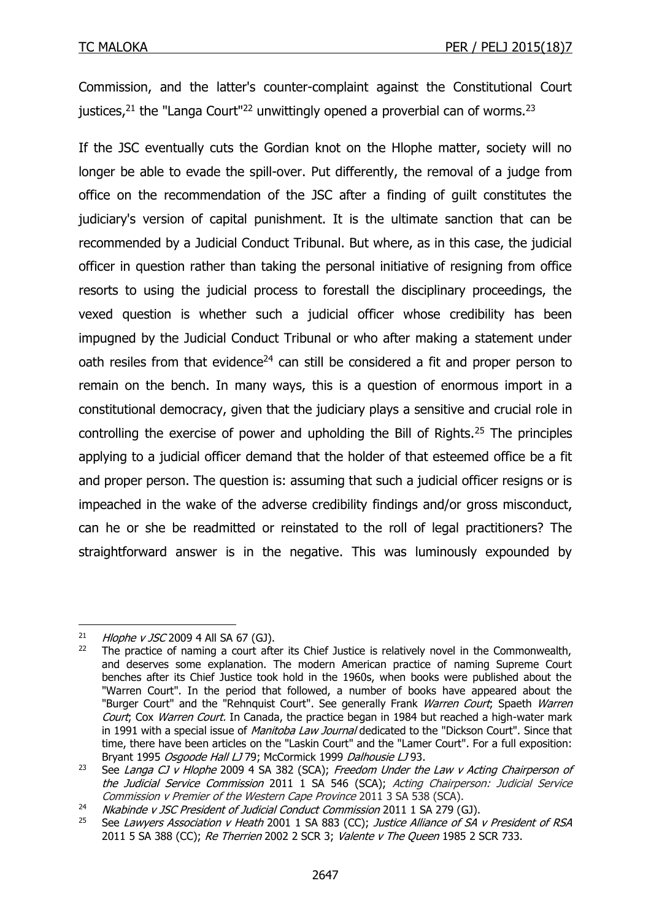Commission, and the latter's counter-complaint against the Constitutional Court justices,<sup>21</sup> the "Langa Court"<sup>22</sup> unwittingly opened a proverbial can of worms.<sup>23</sup>

If the JSC eventually cuts the Gordian knot on the Hlophe matter, society will no longer be able to evade the spill-over. Put differently, the removal of a judge from office on the recommendation of the JSC after a finding of guilt constitutes the judiciary's version of capital punishment. It is the ultimate sanction that can be recommended by a Judicial Conduct Tribunal. But where, as in this case, the judicial officer in question rather than taking the personal initiative of resigning from office resorts to using the judicial process to forestall the disciplinary proceedings, the vexed question is whether such a judicial officer whose credibility has been impugned by the Judicial Conduct Tribunal or who after making a statement under oath resiles from that evidence<sup>24</sup> can still be considered a fit and proper person to remain on the bench. In many ways, this is a question of enormous import in a constitutional democracy, given that the judiciary plays a sensitive and crucial role in controlling the exercise of power and upholding the Bill of Rights.<sup>25</sup> The principles applying to a judicial officer demand that the holder of that esteemed office be a fit and proper person. The question is: assuming that such a judicial officer resigns or is impeached in the wake of the adverse credibility findings and/or gross misconduct, can he or she be readmitted or reinstated to the roll of legal practitioners? The straightforward answer is in the negative. This was luminously expounded by

<sup>&</sup>lt;sup>21</sup> *Hlophe v JSC* 2009 4 All SA 67 (GJ).

The practice of naming a court after its Chief Justice is relatively novel in the Commonwealth, and deserves some explanation. The modern American practice of naming Supreme Court benches after its Chief Justice took hold in the 1960s, when books were published about the "Warren Court". In the period that followed, a number of books have appeared about the "Burger Court" and the "Rehnquist Court". See generally Frank Warren Court; Spaeth Warren Court; Cox Warren Court. In Canada, the practice began in 1984 but reached a high-water mark in 1991 with a special issue of *Manitoba Law Journal* dedicated to the "Dickson Court". Since that time, there have been articles on the "Laskin Court" and the "Lamer Court". For a full exposition: Bryant 1995 Osgoode Hall LJ 79; McCormick 1999 Dalhousie LJ 93.

<sup>&</sup>lt;sup>23</sup> See Langa CJ v Hlophe 2009 4 SA 382 (SCA); Freedom Under the Law v Acting Chairperson of the Judicial Service Commission 2011 1 SA 546 (SCA); Acting Chairperson: Judicial Service Commission v Premier of the Western Cape Province 2011 3 SA 538 (SCA).

<sup>&</sup>lt;sup>24</sup> Nkabinde v JSC President of Judicial Conduct Commission 2011 1 SA 279 (GJ).<br><sup>25</sup> See Lawyers Association v Heath 2001 1 SA 883 (CC); Justice Alliance of SA

See Lawyers Association v Heath 2001 1 SA 883 (CC); Justice Alliance of SA v President of RSA 2011 5 SA 388 (CC); Re Therrien 2002 2 SCR 3; Valente v The Oueen 1985 2 SCR 733.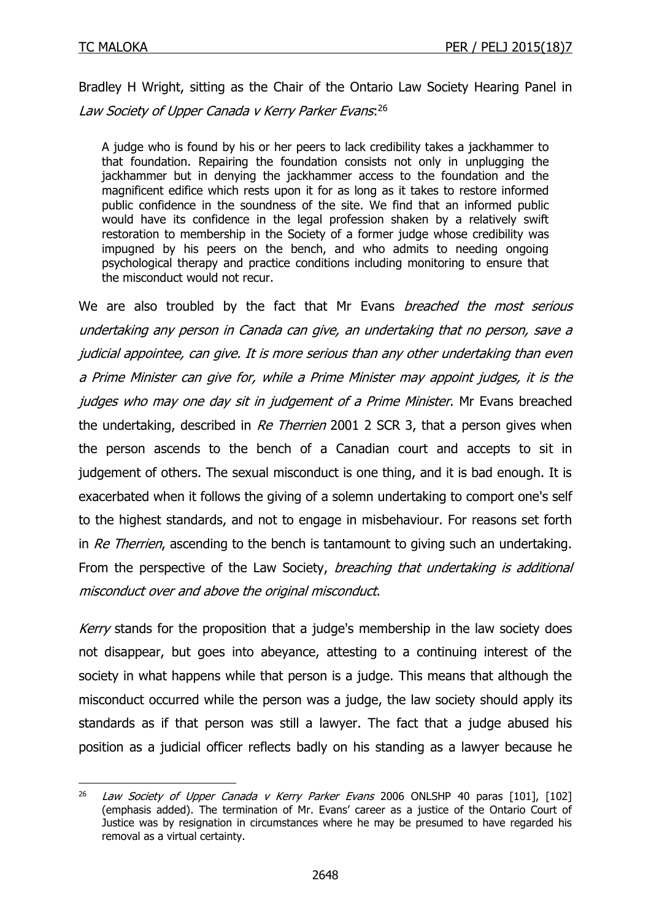1

Bradley H Wright, sitting as the Chair of the Ontario Law Society Hearing Panel in Law Society of Upper Canada v Kerry Parker Evans: 26

A judge who is found by his or her peers to lack credibility takes a jackhammer to that foundation. Repairing the foundation consists not only in unplugging the jackhammer but in denying the jackhammer access to the foundation and the magnificent edifice which rests upon it for as long as it takes to restore informed public confidence in the soundness of the site. We find that an informed public would have its confidence in the legal profession shaken by a relatively swift restoration to membership in the Society of a former judge whose credibility was impugned by his peers on the bench, and who admits to needing ongoing psychological therapy and practice conditions including monitoring to ensure that the misconduct would not recur.

We are also troubled by the fact that Mr Evans *breached the most serious* undertaking any person in Canada can give, an undertaking that no person, save a judicial appointee, can give. It is more serious than any other undertaking than even a Prime Minister can give for, while a Prime Minister may appoint judges, it is the judges who may one day sit in judgement of a Prime Minister. Mr Evans breached the undertaking, described in Re Therrien 2001 2 SCR 3, that a person gives when the person ascends to the bench of a Canadian court and accepts to sit in judgement of others. The sexual misconduct is one thing, and it is bad enough. It is exacerbated when it follows the giving of a solemn undertaking to comport one's self to the highest standards, and not to engage in misbehaviour. For reasons set forth in Re Therrien, ascending to the bench is tantamount to giving such an undertaking. From the perspective of the Law Society, *breaching that undertaking is additional* misconduct over and above the original misconduct.

Kerry stands for the proposition that a judge's membership in the law society does not disappear, but goes into abeyance, attesting to a continuing interest of the society in what happens while that person is a judge. This means that although the misconduct occurred while the person was a judge, the law society should apply its standards as if that person was still a lawyer. The fact that a judge abused his position as a judicial officer reflects badly on his standing as a lawyer because he

<sup>&</sup>lt;sup>26</sup> Law Society of Upper Canada v Kerry Parker Evans 2006 ONLSHP 40 paras [101], [102] (emphasis added). The termination of Mr. Evans' career as a justice of the Ontario Court of Justice was by resignation in circumstances where he may be presumed to have regarded his removal as a virtual certainty.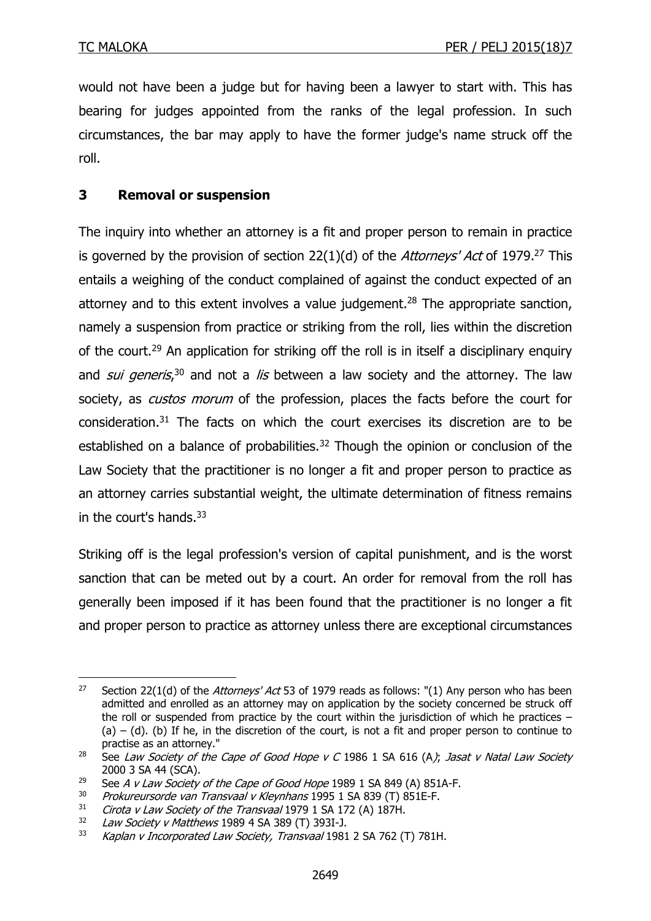<u>.</u>

would not have been a judge but for having been a lawyer to start with. This has bearing for judges appointed from the ranks of the legal profession. In such circumstances, the bar may apply to have the former judge's name struck off the roll.

# **3 Removal or suspension**

The inquiry into whether an attorney is a fit and proper person to remain in practice is governed by the provision of section 22(1)(d) of the Attorneys' Act of 1979.<sup>27</sup> This entails a weighing of the conduct complained of against the conduct expected of an attorney and to this extent involves a value judgement.<sup>28</sup> The appropriate sanction, namely a suspension from practice or striking from the roll, lies within the discretion of the court.<sup>29</sup> An application for striking off the roll is in itself a disciplinary enquiry and *sui generis*,<sup>30</sup> and not a lis between a law society and the attorney. The law society, as *custos morum* of the profession, places the facts before the court for consideration.<sup>31</sup> The facts on which the court exercises its discretion are to be established on a balance of probabilities.<sup>32</sup> Though the opinion or conclusion of the Law Society that the practitioner is no longer a fit and proper person to practice as an attorney carries substantial weight, the ultimate determination of fitness remains in the court's hands. $33$ 

Striking off is the legal profession's version of capital punishment, and is the worst sanction that can be meted out by a court. An order for removal from the roll has generally been imposed if it has been found that the practitioner is no longer a fit and proper person to practice as attorney unless there are exceptional circumstances

<sup>&</sup>lt;sup>27</sup> Section 22(1(d) of the *Attorneys' Act* 53 of 1979 reads as follows: "(1) Any person who has been admitted and enrolled as an attorney may on application by the society concerned be struck off the roll or suspended from practice by the court within the jurisdiction of which he practices –  $(a) - (d)$ . (b) If he, in the discretion of the court, is not a fit and proper person to continue to practise as an attorney."

<sup>&</sup>lt;sup>28</sup> See Law Society of the Cape of Good Hope v C 1986 1 SA 616 (A); Jasat v Natal Law Society 2000 3 SA 44 (SCA).

<sup>&</sup>lt;sup>29</sup> See A v Law Society of the Cape of Good Hope 1989 1 SA 849 (A) 851A-F.<br><sup>30</sup> Prokureursorde van Transvaal v Kleynbans 1995 1 SA 839 (T) 851E-E

<sup>&</sup>lt;sup>30</sup> Prokureursorde van Transvaal v Kleynhans 1995 1 SA 839 (T) 851E-F.<br><sup>31</sup> Circla v Law Society of the Transvaal 1979 1 SA 172 (A) 187H

 $31$  Cirota v Law Society of the Transvaal 1979 1 SA 172 (A) 187H.<br> $32$  Law Society v Matthews 1989 4 SA 389 (T) 3931-1

Law Society v Matthews 1989 4 SA 389 (T) 393I-J.

<sup>33</sup> Kaplan v Incorporated Law Society, Transvaal 1981 2 SA 762 (T) 781H.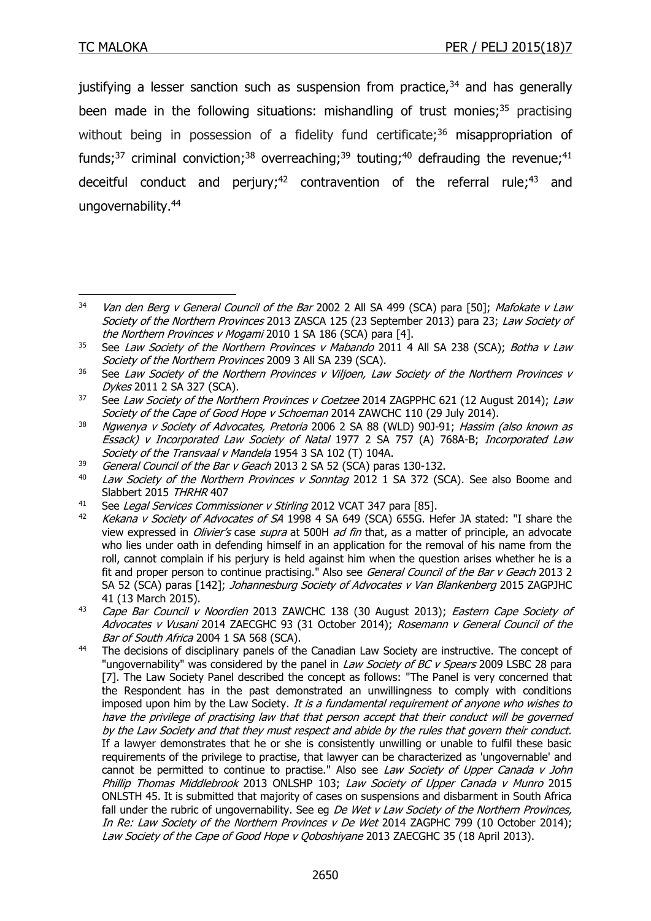<u>.</u>

justifying a lesser sanction such as suspension from practice,<sup>34</sup> and has generally been made in the following situations: mishandling of trust monies;<sup>35</sup> practising without being in possession of a fidelity fund certificate;<sup>36</sup> misappropriation of funds;<sup>37</sup> criminal conviction;<sup>38</sup> overreaching;<sup>39</sup> touting;<sup>40</sup> defrauding the revenue;<sup>41</sup> deceitful conduct and perjury;<sup>42</sup> contravention of the referral rule;<sup>43</sup> and ungovernability.<sup>44</sup>

 $34$  Van den Berg v General Council of the Bar 2002 2 All SA 499 (SCA) para [50]; Mafokate v Law Society of the Northern Provinces 2013 ZASCA 125 (23 September 2013) para 23; Law Society of the Northern Provinces v Mogami 2010 1 SA 186 (SCA) para [4].

<sup>&</sup>lt;sup>35</sup> See Law Society of the Northern Provinces v Mabando 2011 4 All SA 238 (SCA); Botha v Law Society of the Northern Provinces 2009 3 All SA 239 (SCA).

 $36$  See Law Society of the Northern Provinces v Viljoen, Law Society of the Northern Provinces v Dykes 2011 2 SA 327 (SCA).

<sup>&</sup>lt;sup>37</sup> See Law Society of the Northern Provinces v Coetzee 2014 ZAGPPHC 621 (12 August 2014); Law Society of the Cape of Good Hope v Schoeman 2014 ZAWCHC 110 (29 July 2014).

 $38$  Ngwenya v Society of Advocates, Pretoria 2006 2 SA 88 (WLD) 901-91; Hassim (also known as Essack) v Incorporated Law Society of Natal 1977 2 SA 757 (A) 768A-B; Incorporated Law Society of the Transvaal v Mandela 1954 3 SA 102 (T) 104A.

<sup>&</sup>lt;sup>39</sup> General Council of the Bar v Geach 2013 2 SA 52 (SCA) paras 130-132.

<sup>&</sup>lt;sup>40</sup> Law Society of the Northern Provinces v Sonntag 2012 1 SA 372 (SCA). See also Boome and Slabbert 2015 THRHR 407

<sup>&</sup>lt;sup>41</sup> See Legal Services Commissioner v Stirling 2012 VCAT 347 para [85].

Kekana v Society of Advocates of SA 1998 4 SA 649 (SCA) 655G. Hefer JA stated: "I share the view expressed in *Olivier's* case *supra* at 500H *ad fin* that, as a matter of principle, an advocate who lies under oath in defending himself in an application for the removal of his name from the roll, cannot complain if his perjury is held against him when the question arises whether he is a fit and proper person to continue practising." Also see General Council of the Bar v Geach 2013 2 SA 52 (SCA) paras [142]; Johannesburg Society of Advocates v Van Blankenberg 2015 ZAGPJHC 41 (13 March 2015).

<sup>43</sup> Cape Bar Council v Noordien 2013 ZAWCHC 138 (30 August 2013); Eastern Cape Society of Advocates v Vusani 2014 ZAECGHC 93 (31 October 2014); Rosemann v General Council of the Bar of South Africa 2004 1 SA 568 (SCA).

<sup>&</sup>lt;sup>44</sup> The decisions of disciplinary panels of the Canadian Law Society are instructive. The concept of "ungovernability" was considered by the panel in *Law Society of BC v Spears* 2009 LSBC 28 para [7]. The Law Society Panel described the concept as follows: "The Panel is very concerned that the Respondent has in the past demonstrated an unwillingness to comply with conditions imposed upon him by the Law Society. It is a fundamental requirement of anyone who wishes to have the privilege of practising law that that person accept that their conduct will be governed by the Law Society and that they must respect and abide by the rules that govern their conduct. If a lawyer demonstrates that he or she is consistently unwilling or unable to fulfil these basic requirements of the privilege to practise, that lawyer can be characterized as 'ungovernable' and cannot be permitted to continue to practise." Also see [Law Society of Upper Canada v](https://www.canlii.org/en/on/onlst/doc/2013/2013onlshp103/2013onlshp103.html?searchUrlHash=AAAAAQAjdW5nb3Zlcm5hYmlsaXR5IGxlZ2FsIHByYWN0aXRpb25lcnMAAAAAAQ&resultIndex=11) John [Phillip Thomas Middlebrook](https://www.canlii.org/en/on/onlst/doc/2013/2013onlshp103/2013onlshp103.html?searchUrlHash=AAAAAQAjdW5nb3Zlcm5hYmlsaXR5IGxlZ2FsIHByYWN0aXRpb25lcnMAAAAAAQ&resultIndex=11) 2013 ONLSHP 103; [Law Society of Upper Canada v](https://www.canlii.org/en/on/onlst/doc/2015/2015onlsth45/2015onlsth45.html?searchUrlHash=AAAAAQAjdW5nb3Zlcm5hYmlsaXR5IGxlZ2FsIHByYWN0aXRpb25lcnMAAAAAAQ&resultIndex=15) Munro 2015 ONLSTH 45. It is submitted that majority of cases on suspensions and disbarment in South Africa fall under the rubric of ungovernability. See eq De Wet v Law Society of the Northern Provinces, In Re: Law Society of the Northern Provinces v De Wet 2014 ZAGPHC 799 (10 October 2014); Law Society of the Cape of Good Hope v Ooboshiyane 2013 ZAECGHC 35 (18 April 2013).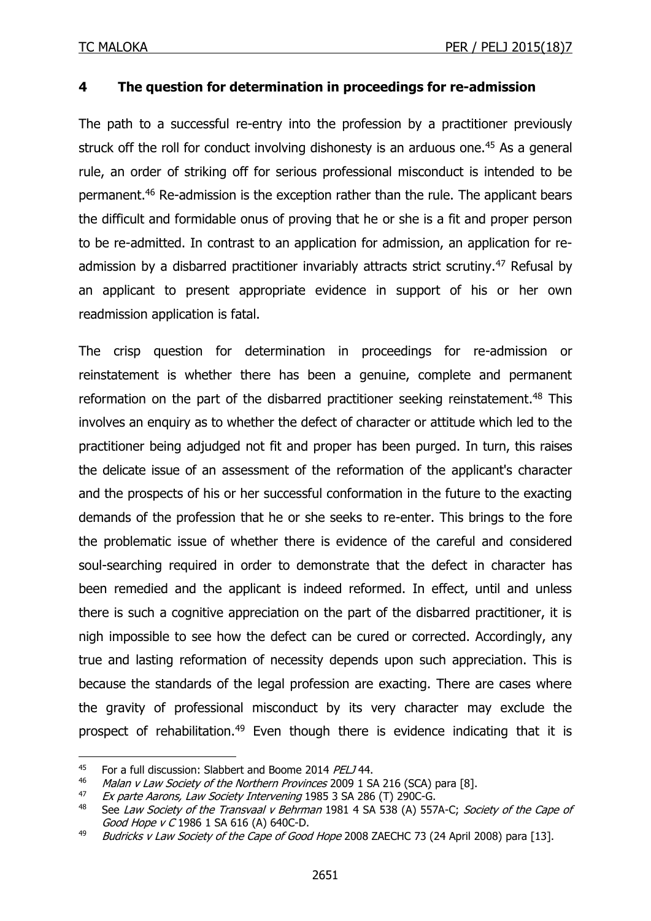### **4 The question for determination in proceedings for re-admission**

The path to a successful re-entry into the profession by a practitioner previously struck off the roll for conduct involving dishonesty is an arduous one.<sup>45</sup> As a general rule, an order of striking off for serious professional misconduct is intended to be permanent.<sup>46</sup> Re-admission is the exception rather than the rule. The applicant bears the difficult and formidable onus of proving that he or she is a fit and proper person to be re-admitted. In contrast to an application for admission, an application for readmission by a disbarred practitioner invariably attracts strict scrutiny.<sup>47</sup> Refusal by an applicant to present appropriate evidence in support of his or her own readmission application is fatal.

The crisp question for determination in proceedings for re-admission or reinstatement is whether there has been a genuine, complete and permanent reformation on the part of the disbarred practitioner seeking reinstatement.<sup>48</sup> This involves an enquiry as to whether the defect of character or attitude which led to the practitioner being adjudged not fit and proper has been purged. In turn, this raises the delicate issue of an assessment of the reformation of the applicant's character and the prospects of his or her successful conformation in the future to the exacting demands of the profession that he or she seeks to re-enter. This brings to the fore the problematic issue of whether there is evidence of the careful and considered soul-searching required in order to demonstrate that the defect in character has been remedied and the applicant is indeed reformed. In effect, until and unless there is such a cognitive appreciation on the part of the disbarred practitioner, it is nigh impossible to see how the defect can be cured or corrected. Accordingly, any true and lasting reformation of necessity depends upon such appreciation. This is because the standards of the legal profession are exacting. There are cases where the gravity of professional misconduct by its very character may exclude the prospect of rehabilitation.<sup>49</sup> Even though there is evidence indicating that it is

<sup>&</sup>lt;sup>45</sup> For a full discussion: Slabbert and Boome 2014 PELJ 44.

<sup>&</sup>lt;sup>46</sup> Malan v Law Society of the Northern Provinces 2009 1 SA 216 (SCA) para [8].<br><sup>47</sup> Ex narte Aarons, Law Society Intervening 1985 3 SA 286 (T) 290C-C

<sup>&</sup>lt;sup>47</sup> Ex parte Aarons, Law Society Intervening 1985 3 [SA 286](http://www.saflii.org/cgi-bin/LawCite?cit=1985%20%283%29%20SA%20286) (T) 290C-G.<br><sup>48</sup> See Law Society of the Transvaal v Behrman 1981 4 SA 538 (A) 557

See Law Society of the Transvaal v Behrman 1981 4 [SA 538](http://www.saflii.org/cgi-bin/LawCite?cit=1981%20%284%29%20SA%20538) (A) 557A-C; Society of the Cape of Good Hope v C 1986 1 SA 616 (A) 640C-D.

<sup>49</sup> Budricks v Law Society of the Cape of Good Hope 2008 ZAECHC 73 (24 April 2008) para [13].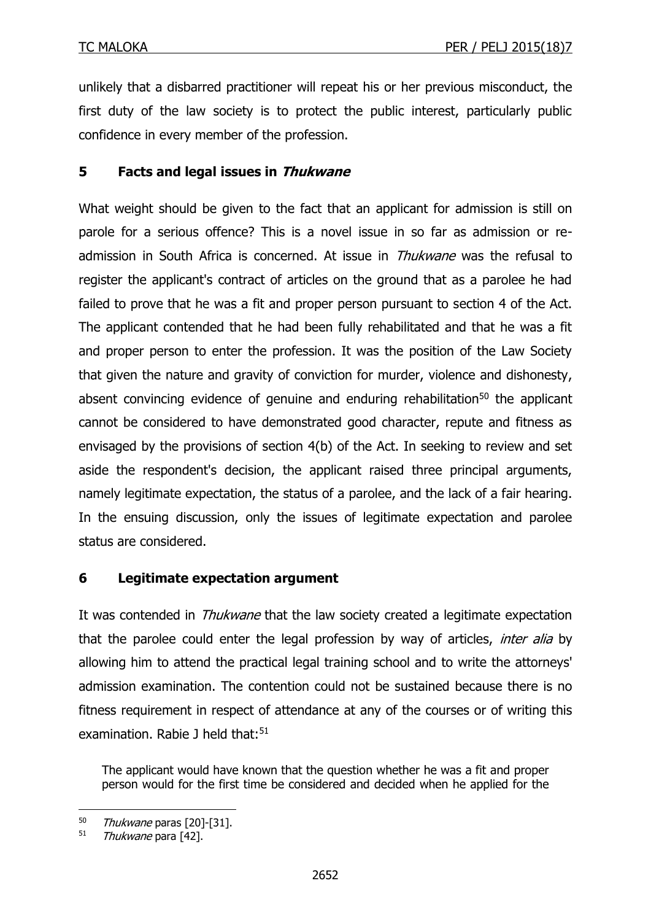unlikely that a disbarred practitioner will repeat his or her previous misconduct, the first duty of the law society is to protect the public interest, particularly public confidence in every member of the profession.

### **5 Facts and legal issues in Thukwane**

What weight should be given to the fact that an applicant for admission is still on parole for a serious offence? This is a novel issue in so far as admission or readmission in South Africa is concerned. At issue in *Thukwane* was the refusal to register the applicant's contract of articles on the ground that as a parolee he had failed to prove that he was a fit and proper person pursuant to section 4 of the Act. The applicant contended that he had been fully rehabilitated and that he was a fit and proper person to enter the profession. It was the position of the Law Society that given the nature and gravity of conviction for murder, violence and dishonesty, absent convincing evidence of genuine and enduring rehabilitation<sup>50</sup> the applicant cannot be considered to have demonstrated good character, repute and fitness as envisaged by the provisions of section 4(b) of the Act. In seeking to review and set aside the respondent's decision, the applicant raised three principal arguments, namely legitimate expectation, the status of a parolee, and the lack of a fair hearing. In the ensuing discussion, only the issues of legitimate expectation and parolee status are considered.

# **6 Legitimate expectation argument**

It was contended in *Thukwane* that the law society created a legitimate expectation that the parolee could enter the legal profession by way of articles, *inter alia* by allowing him to attend the practical legal training school and to write the attorneys' admission examination. The contention could not be sustained because there is no fitness requirement in respect of attendance at any of the courses or of writing this examination. Rabie J held that: $51$ 

The applicant would have known that the question whether he was a fit and proper person would for the first time be considered and decided when he applied for the

 $50$  Thukwane paras [20]-[31].

 $51$  Thukwane para [42].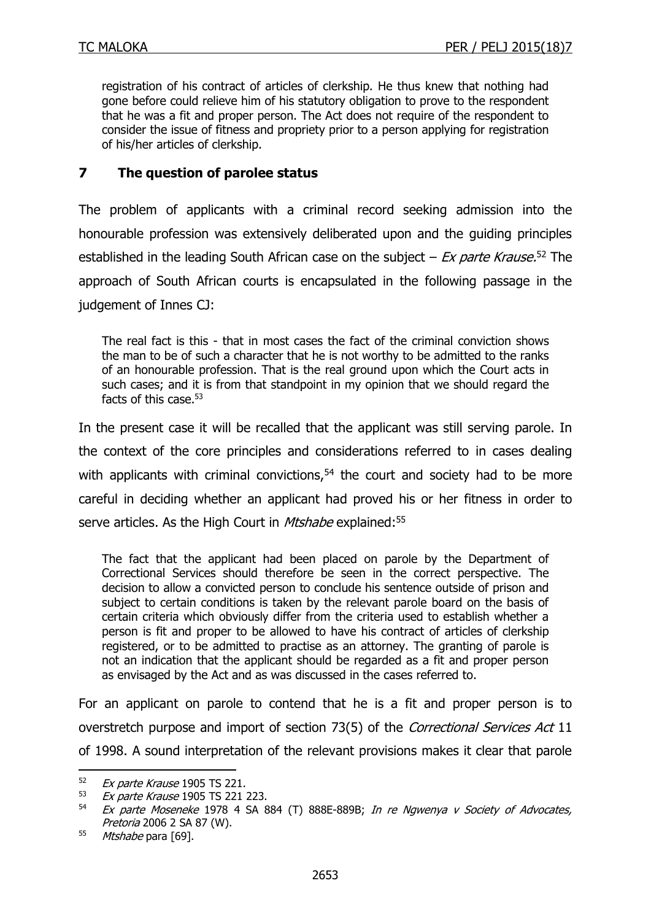registration of his contract of articles of clerkship. He thus knew that nothing had gone before could relieve him of his statutory obligation to prove to the respondent that he was a fit and proper person. The Act does not require of the respondent to consider the issue of fitness and propriety prior to a person applying for registration of his/her articles of clerkship.

### **7 The question of parolee status**

The problem of applicants with a criminal record seeking admission into the honourable profession was extensively deliberated upon and the guiding principles established in the leading South African case on the subject  $-$  Ex parte Krause.<sup>52</sup> The approach of South African courts is encapsulated in the following passage in the judgement of Innes CJ:

The real fact is this - that in most cases the fact of the criminal conviction shows the man to be of such a character that he is not worthy to be admitted to the ranks of an honourable profession. That is the real ground upon which the Court acts in such cases; and it is from that standpoint in my opinion that we should regard the facts of this case. $53$ 

In the present case it will be recalled that the applicant was still serving parole. In the context of the core principles and considerations referred to in cases dealing with applicants with criminal convictions,  $54$  the court and society had to be more careful in deciding whether an applicant had proved his or her fitness in order to serve articles. As the High Court in *Mtshabe* explained:<sup>55</sup>

The fact that the applicant had been placed on parole by the Department of Correctional Services should therefore be seen in the correct perspective. The decision to allow a convicted person to conclude his sentence outside of prison and subject to certain conditions is taken by the relevant parole board on the basis of certain criteria which obviously differ from the criteria used to establish whether a person is fit and proper to be allowed to have his contract of articles of clerkship registered, or to be admitted to practise as an attorney. The granting of parole is not an indication that the applicant should be regarded as a fit and proper person as envisaged by the Act and as was discussed in the cases referred to.

For an applicant on parole to contend that he is a fit and proper person is to overstretch purpose and import of section 73(5) of the Correctional Services Act 11 of 1998. A sound interpretation of the relevant provisions makes it clear that parole

1

 $52$  Ex parte Krause 1905 TS 221.<br> $53$  Ex parte Krause 1905 TS 221.

 $53$  Ex parte Krause 1905 TS 221 223.<br> $54$  Ex parte Moseneke 1978 4 SA S

 $Ex$  parte Moseneke 1978 4 SA 884 (T) 888E-889B; In re Ngwenya v Society of Advocates, Pretoria 2006 2 SA 87 (W).

<sup>55</sup> Mtshabe para [69].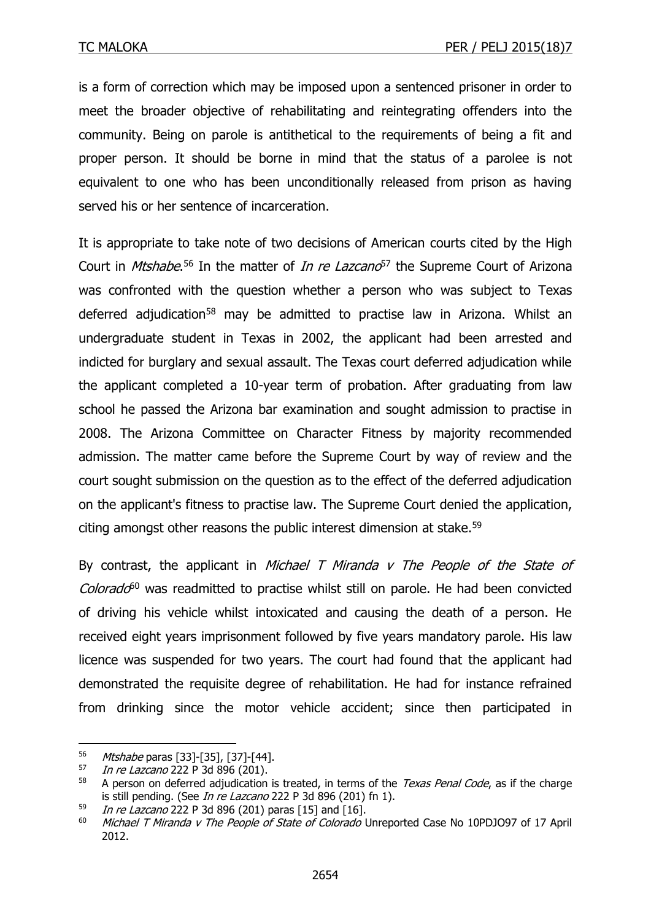is a form of correction which may be imposed upon a sentenced prisoner in order to meet the broader objective of rehabilitating and reintegrating offenders into the community. Being on parole is antithetical to the requirements of being a fit and proper person. It should be borne in mind that the status of a parolee is not equivalent to one who has been unconditionally released from prison as having served his or her sentence of incarceration.

It is appropriate to take note of two decisions of American courts cited by the High Court in *Mtshabe*.<sup>56</sup> In the matter of *In re Lazcano*<sup>57</sup> the Supreme Court of Arizona was confronted with the question whether a person who was subject to Texas deferred adjudication<sup>58</sup> may be admitted to practise law in Arizona. Whilst an undergraduate student in Texas in 2002, the applicant had been arrested and indicted for burglary and sexual assault. The Texas court deferred adjudication while the applicant completed a 10-year term of probation. After graduating from law school he passed the Arizona bar examination and sought admission to practise in 2008. The Arizona Committee on Character Fitness by majority recommended admission. The matter came before the Supreme Court by way of review and the court sought submission on the question as to the effect of the deferred adjudication on the applicant's fitness to practise law. The Supreme Court denied the application, citing amongst other reasons the public interest dimension at stake. 59

By contrast, the applicant in Michael T Miranda  $v$  The People of the State of  $Colorado<sup>60</sup>$  was readmitted to practise whilst still on parole. He had been convicted of driving his vehicle whilst intoxicated and causing the death of a person. He received eight years imprisonment followed by five years mandatory parole. His law licence was suspended for two years. The court had found that the applicant had demonstrated the requisite degree of rehabilitation. He had for instance refrained from drinking since the motor vehicle accident; since then participated in

<sup>56</sup> *Mtshabe* paras [33]-[35], [37]-[44].

<sup>57</sup> In re Lazcano 222 P 3d 896 (201).

 $58$  A person on deferred adjudication is treated, in terms of the *Texas Penal Code*, as if the charge is still pending. (See In re Lazcano 222 P 3d 896 (201) fn 1).

 $\frac{59}{10}$  In re Lazcano 222 P 3d 896 (201) paras [15] and [16].<br> $\frac{50}{10}$  Michael T Miranda v The People of State of Colorado I

Michael T Miranda v The People of State of Colorado Unreported Case No 10PDJO97 of 17 April 2012.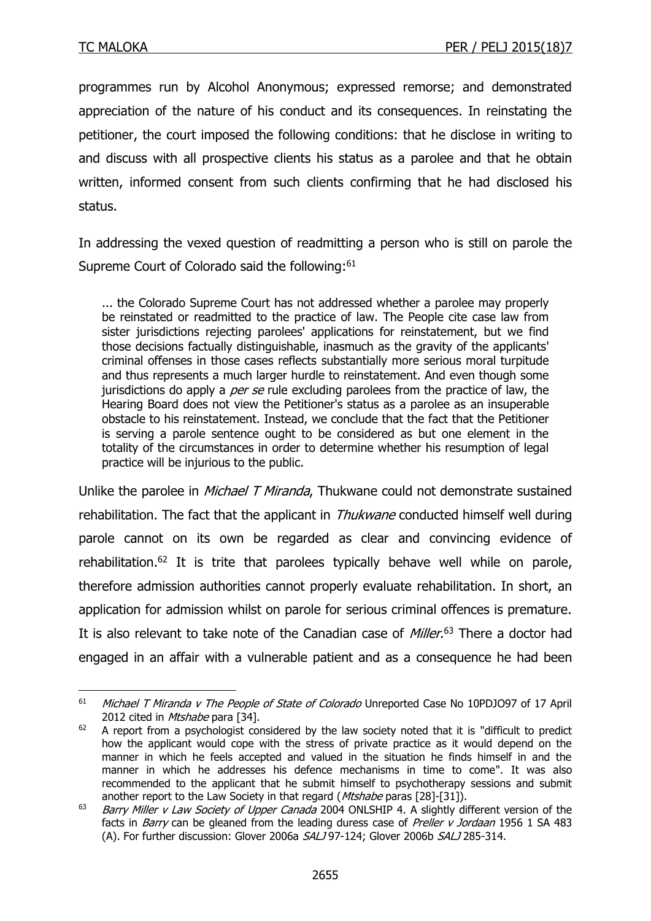<u>.</u>

programmes run by Alcohol Anonymous; expressed remorse; and demonstrated appreciation of the nature of his conduct and its consequences. In reinstating the petitioner, the court imposed the following conditions: that he disclose in writing to and discuss with all prospective clients his status as a parolee and that he obtain written, informed consent from such clients confirming that he had disclosed his status.

In addressing the vexed question of readmitting a person who is still on parole the Supreme Court of Colorado said the following:<sup>61</sup>

... the Colorado Supreme Court has not addressed whether a parolee may properly be reinstated or readmitted to the practice of law. The People cite case law from sister jurisdictions rejecting parolees' applications for reinstatement, but we find those decisions factually distinguishable, inasmuch as the gravity of the applicants' criminal offenses in those cases reflects substantially more serious moral turpitude and thus represents a much larger hurdle to reinstatement. And even though some jurisdictions do apply a *per se* rule excluding parolees from the practice of law, the Hearing Board does not view the Petitioner's status as a parolee as an insuperable obstacle to his reinstatement. Instead, we conclude that the fact that the Petitioner is serving a parole sentence ought to be considered as but one element in the totality of the circumstances in order to determine whether his resumption of legal practice will be injurious to the public.

Unlike the parolee in *Michael T Miranda*, Thukwane could not demonstrate sustained rehabilitation. The fact that the applicant in *Thukwane* conducted himself well during parole cannot on its own be regarded as clear and convincing evidence of rehabilitation.<sup>62</sup> It is trite that parolees typically behave well while on parole, therefore admission authorities cannot properly evaluate rehabilitation. In short, an application for admission whilst on parole for serious criminal offences is premature. It is also relevant to take note of the Canadian case of *Miller*.<sup>63</sup> There a doctor had engaged in an affair with a vulnerable patient and as a consequence he had been

<sup>&</sup>lt;sup>61</sup> Michael T Miranda v The People of State of Colorado Unreported Case No 10PDJO97 of 17 April 2012 cited in Mtshabe para [34].

 $62$  A report from a psychologist considered by the law society noted that it is "difficult to predict how the applicant would cope with the stress of private practice as it would depend on the manner in which he feels accepted and valued in the situation he finds himself in and the manner in which he addresses his defence mechanisms in time to come". It was also recommended to the applicant that he submit himself to psychotherapy sessions and submit another report to the Law Society in that regard (Mtshabe paras [28]-[31]).

 $^{63}$  Barry Miller v Law Society of Upper Canada 2004 ONLSHIP 4. A slightly different version of the facts in *Barry* can be gleaned from the leading duress case of *Preller v Jordaan* 1956 1 SA 483 (A). For further discussion: Glover 2006a SALJ 97-124; Glover 2006b SALJ 285-314.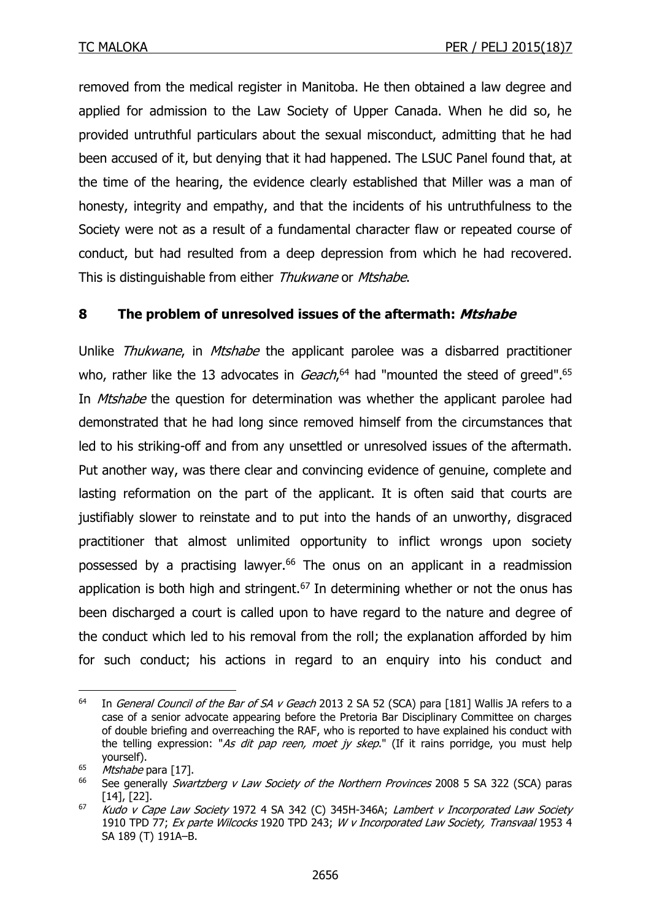removed from the medical register in Manitoba. He then obtained a law degree and applied for admission to the Law Society of Upper Canada. When he did so, he provided untruthful particulars about the sexual misconduct, admitting that he had been accused of it, but denying that it had happened. The LSUC Panel found that, at the time of the hearing, the evidence clearly established that Miller was a man of honesty, integrity and empathy, and that the incidents of his untruthfulness to the Society were not as a result of a fundamental character flaw or repeated course of conduct, but had resulted from a deep depression from which he had recovered. This is distinguishable from either Thukwane or Mtshabe.

# **8 The problem of unresolved issues of the aftermath: Mtshabe**

Unlike Thukwane, in Mtshabe the applicant parolee was a disbarred practitioner who, rather like the 13 advocates in *Geach*,<sup>64</sup> had "mounted the steed of greed".<sup>65</sup> In *Mtshabe* the question for determination was whether the applicant parolee had demonstrated that he had long since removed himself from the circumstances that led to his striking-off and from any unsettled or unresolved issues of the aftermath. Put another way, was there clear and convincing evidence of genuine, complete and lasting reformation on the part of the applicant. It is often said that courts are justifiably slower to reinstate and to put into the hands of an unworthy, disgraced practitioner that almost unlimited opportunity to inflict wrongs upon society possessed by a practising lawyer.<sup>66</sup> The onus on an applicant in a readmission application is both high and stringent. $67$  In determining whether or not the onus has been discharged a court is called upon to have regard to the nature and degree of the conduct which led to his removal from the roll; the explanation afforded by him for such conduct; his actions in regard to an enquiry into his conduct and

<sup>&</sup>lt;sup>64</sup> In *General Council of the Bar of SA v Geach* 2013 2 SA 52 (SCA) para [181] Wallis JA refers to a case of a senior advocate appearing before the Pretoria Bar Disciplinary Committee on charges of double briefing and overreaching the RAF, who is reported to have explained his conduct with the telling expression: "As dit pap reen, moet jy skep." (If it rains porridge, you must help yourself).

 $65$  *Mtshabe* para [17].

<sup>&</sup>lt;sup>66</sup> See generally *Swartzberg v Law Society of the Northern Provinces* 2008 5 SA 322 (SCA) paras [14], [22].

 $\frac{67}{100}$  Kudo v Cape Law Society 1972 4 SA 342 (C) 345H-346A; Lambert v Incorporated Law Society [1910 TPD 77;](http://www.saflii.org/cgi-bin/LawCite?cit=1910%20TPD%2077) Ex parte Wilcocks [1920 TPD 243;](http://www.saflii.org/cgi-bin/LawCite?cit=1920%20TPD%20243) W v Incorporated Law Society, Transvaal [1953 4](http://www.saflii.org/cgi-bin/LawCite?cit=1953%20%284%29%20SA%20189) [SA 189](http://www.saflii.org/cgi-bin/LawCite?cit=1953%20%284%29%20SA%20189) (T) 191A–B.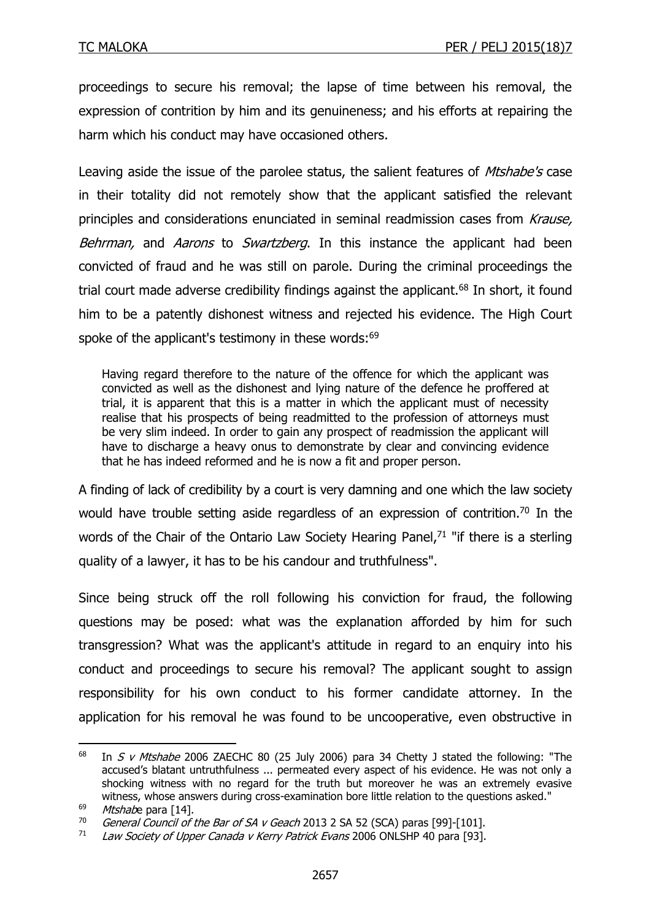proceedings to secure his removal; the lapse of time between his removal, the expression of contrition by him and its genuineness; and his efforts at repairing the harm which his conduct may have occasioned others.

Leaving aside the issue of the parolee status, the salient features of *Mtshabe's* case in their totality did not remotely show that the applicant satisfied the relevant principles and considerations enunciated in seminal readmission cases from Krause, Behrman, and Aarons to Swartzberg. In this instance the applicant had been convicted of fraud and he was still on parole. During the criminal proceedings the trial court made adverse credibility findings against the applicant.<sup>68</sup> In short, it found him to be a patently dishonest witness and rejected his evidence. The High Court spoke of the applicant's testimony in these words:<sup>69</sup>

Having regard therefore to the nature of the offence for which the applicant was convicted as well as the dishonest and lying nature of the defence he proffered at trial, it is apparent that this is a matter in which the applicant must of necessity realise that his prospects of being readmitted to the profession of attorneys must be very slim indeed. In order to gain any prospect of readmission the applicant will have to discharge a heavy onus to demonstrate by clear and convincing evidence that he has indeed reformed and he is now a fit and proper person.

A finding of lack of credibility by a court is very damning and one which the law society would have trouble setting aside regardless of an expression of contrition.<sup>70</sup> In the words of the Chair of the Ontario Law Society Hearing Panel, $71$  "if there is a sterling quality of a lawyer, it has to be his candour and truthfulness".

Since being struck off the roll following his conviction for fraud, the following questions may be posed: what was the explanation afforded by him for such transgression? What was the applicant's attitude in regard to an enquiry into his conduct and proceedings to secure his removal? The applicant sought to assign responsibility for his own conduct to his former candidate attorney. In the application for his removal he was found to be uncooperative, even obstructive in

<sup>&</sup>lt;sup>68</sup> In S v Mtshabe 2006 ZAECHC 80 (25 July 2006) para 34 Chetty J stated the following: "The accused's blatant untruthfulness ... permeated every aspect of his evidence. He was not only a shocking witness with no regard for the truth but moreover he was an extremely evasive witness, whose answers during cross-examination bore little relation to the questions asked."

 $\frac{69}{70}$  Mtshabe para [14].

General Council of the Bar of SA v Geach 2013 2 SA 52 (SCA) paras [99]-[101].

 $71$  Law Society of Upper Canada v Kerry Patrick Evans 2006 ONLSHP 40 para [93].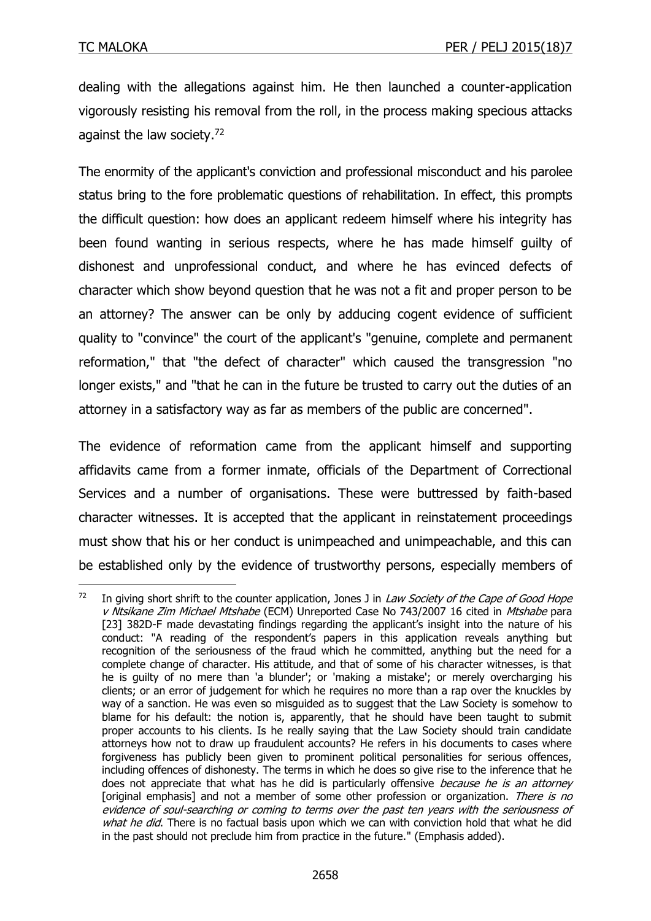dealing with the allegations against him. He then launched a counter-application vigorously resisting his removal from the roll, in the process making specious attacks against the law society.<sup>72</sup>

The enormity of the applicant's conviction and professional misconduct and his parolee status bring to the fore problematic questions of rehabilitation. In effect, this prompts the difficult question: how does an applicant redeem himself where his integrity has been found wanting in serious respects, where he has made himself guilty of dishonest and unprofessional conduct, and where he has evinced defects of character which show beyond question that he was not a fit and proper person to be an attorney? The answer can be only by adducing cogent evidence of sufficient quality to "convince" the court of the applicant's "genuine, complete and permanent reformation," that "the defect of character" which caused the transgression "no longer exists," and "that he can in the future be trusted to carry out the duties of an attorney in a satisfactory way as far as members of the public are concerned".

The evidence of reformation came from the applicant himself and supporting affidavits came from a former inmate, officials of the Department of Correctional Services and a number of organisations. These were buttressed by faith-based character witnesses. It is accepted that the applicant in reinstatement proceedings must show that his or her conduct is unimpeached and unimpeachable, and this can be established only by the evidence of trustworthy persons, especially members of

<sup>1</sup>  $72$  In giving short shrift to the counter application, Jones J in Law Society of the Cape of Good Hope v Ntsikane Zim Michael Mtshabe (ECM) Unreported Case No 743/2007 16 cited in Mtshabe para [23] 382D-F made devastating findings regarding the applicant's insight into the nature of his conduct: "A reading of the respondent's papers in this application reveals anything but recognition of the seriousness of the fraud which he committed, anything but the need for a complete change of character. His attitude, and that of some of his character witnesses, is that he is guilty of no mere than 'a blunder'; or 'making a mistake'; or merely overcharging his clients; or an error of judgement for which he requires no more than a rap over the knuckles by way of a sanction. He was even so misguided as to suggest that the Law Society is somehow to blame for his default: the notion is, apparently, that he should have been taught to submit proper accounts to his clients. Is he really saying that the Law Society should train candidate attorneys how not to draw up fraudulent accounts? He refers in his documents to cases where forgiveness has publicly been given to prominent political personalities for serious offences, including offences of dishonesty. The terms in which he does so give rise to the inference that he does not appreciate that what has he did is particularly offensive because he is an attorney [original emphasis] and not a member of some other profession or organization. There is no evidence of soul-searching or coming to terms over the past ten years with the seriousness of what he did. There is no factual basis upon which we can with conviction hold that what he did in the past should not preclude him from practice in the future." (Emphasis added).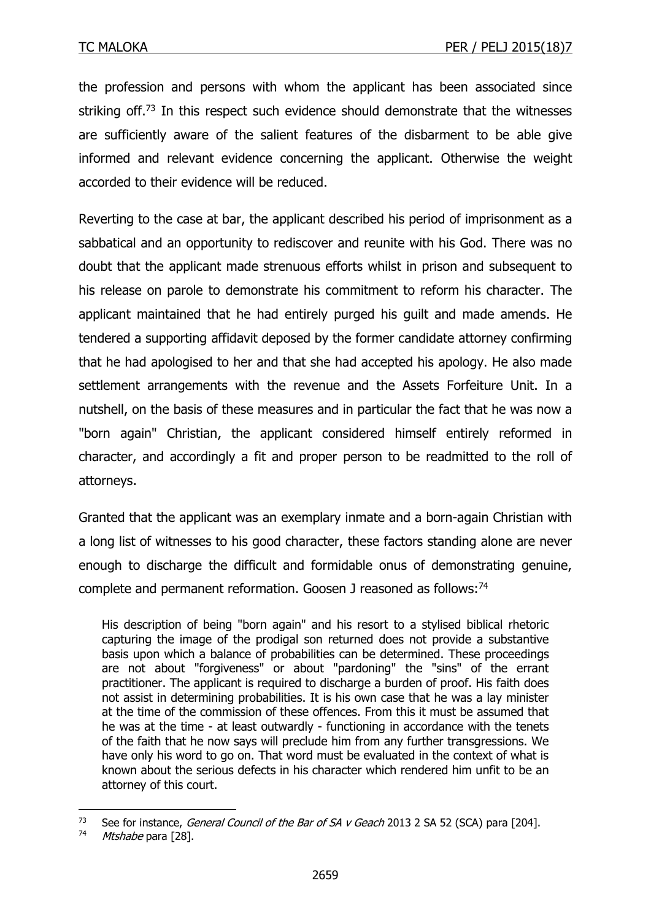the profession and persons with whom the applicant has been associated since striking off.<sup>73</sup> In this respect such evidence should demonstrate that the witnesses are sufficiently aware of the salient features of the disbarment to be able give informed and relevant evidence concerning the applicant. Otherwise the weight accorded to their evidence will be reduced.

Reverting to the case at bar, the applicant described his period of imprisonment as a sabbatical and an opportunity to rediscover and reunite with his God. There was no doubt that the applicant made strenuous efforts whilst in prison and subsequent to his release on parole to demonstrate his commitment to reform his character. The applicant maintained that he had entirely purged his guilt and made amends. He tendered a supporting affidavit deposed by the former candidate attorney confirming that he had apologised to her and that she had accepted his apology. He also made settlement arrangements with the revenue and the Assets Forfeiture Unit. In a nutshell, on the basis of these measures and in particular the fact that he was now a "born again" Christian, the applicant considered himself entirely reformed in character, and accordingly a fit and proper person to be readmitted to the roll of attorneys.

Granted that the applicant was an exemplary inmate and a born-again Christian with a long list of witnesses to his good character, these factors standing alone are never enough to discharge the difficult and formidable onus of demonstrating genuine, complete and permanent reformation. Goosen J reasoned as follows:<sup>74</sup>

His description of being "born again" and his resort to a stylised biblical rhetoric capturing the image of the prodigal son returned does not provide a substantive basis upon which a balance of probabilities can be determined. These proceedings are not about "forgiveness" or about "pardoning" the "sins" of the errant practitioner. The applicant is required to discharge a burden of proof. His faith does not assist in determining probabilities. It is his own case that he was a lay minister at the time of the commission of these offences. From this it must be assumed that he was at the time - at least outwardly - functioning in accordance with the tenets of the faith that he now says will preclude him from any further transgressions. We have only his word to go on. That word must be evaluated in the context of what is known about the serious defects in his character which rendered him unfit to be an attorney of this court.

<sup>&</sup>lt;sup>73</sup> See for instance, *General Council of the Bar of SA v Geach* 2013 2 SA 52 (SCA) para [204].

<sup>74</sup> Mtshabe para [28].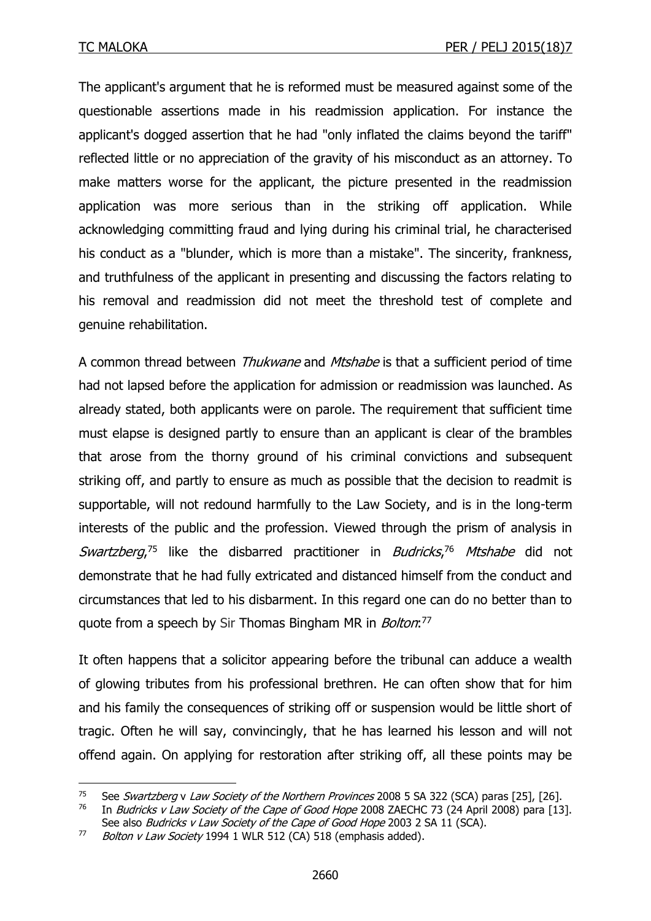1

The applicant's argument that he is reformed must be measured against some of the questionable assertions made in his readmission application. For instance the applicant's dogged assertion that he had "only inflated the claims beyond the tariff" reflected little or no appreciation of the gravity of his misconduct as an attorney. To make matters worse for the applicant, the picture presented in the readmission application was more serious than in the striking off application. While acknowledging committing fraud and lying during his criminal trial, he characterised his conduct as a "blunder, which is more than a mistake". The sincerity, frankness, and truthfulness of the applicant in presenting and discussing the factors relating to his removal and readmission did not meet the threshold test of complete and genuine rehabilitation.

A common thread between *Thukwane* and *Mtshabe* is that a sufficient period of time had not lapsed before the application for admission or readmission was launched. As already stated, both applicants were on parole. The requirement that sufficient time must elapse is designed partly to ensure than an applicant is clear of the brambles that arose from the thorny ground of his criminal convictions and subsequent striking off, and partly to ensure as much as possible that the decision to readmit is supportable, will not redound harmfully to the Law Society, and is in the long-term interests of the public and the profession. Viewed through the prism of analysis in Swartzberg,<sup>75</sup> like the disbarred practitioner in Budricks,<sup>76</sup> Mtshabe did not demonstrate that he had fully extricated and distanced himself from the conduct and circumstances that led to his disbarment. In this regard one can do no better than to quote from a speech by Sir Thomas Bingham MR in *Bolton*:<sup>77</sup>

It often happens that a solicitor appearing before the tribunal can adduce a wealth of glowing tributes from his professional brethren. He can often show that for him and his family the consequences of striking off or suspension would be little short of tragic. Often he will say, convincingly, that he has learned his lesson and will not offend again. On applying for restoration after striking off, all these points may be

<sup>&</sup>lt;sup>75</sup> See Swartzberg v Law Society of the Northern Provinces 2008 5 SA 322 (SCA) paras [25], [26].<br><sup>76</sup> In *Budricks v Law Society of the Cane of Good Hope 2008* ZAECHC 73 (24 April 2008) para [13

In Budricks v Law Society of the Cape of Good Hope 2008 ZAECHC 73 (24 April 2008) para [13]. See also Budricks v Law Society of the Cape of Good Hope 2003 2 SA 11 (SCA).

<sup>77</sup> Bolton v Law Society 1994 1 WLR 512 (CA) 518 (emphasis added).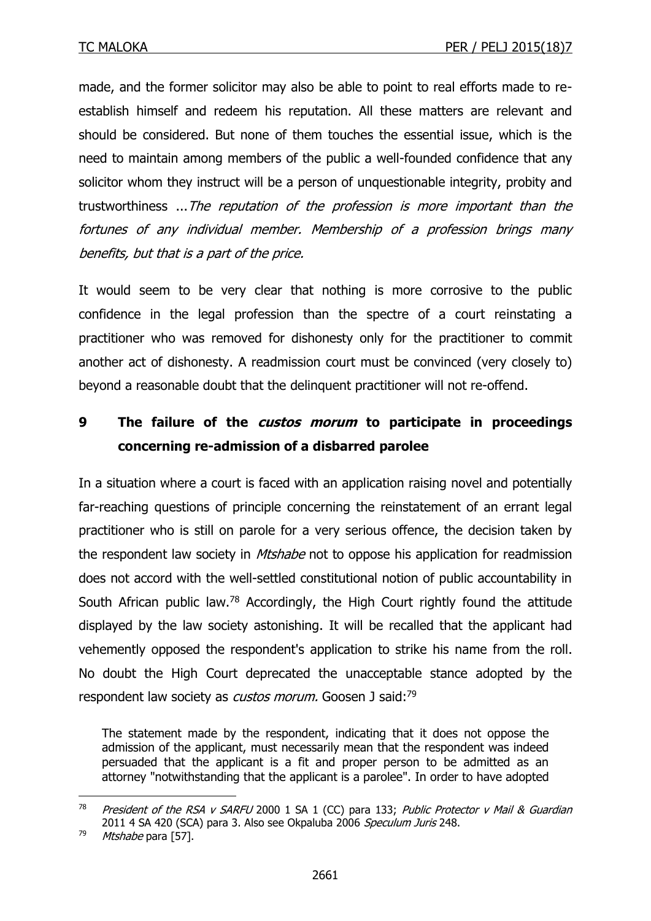made, and the former solicitor may also be able to point to real efforts made to reestablish himself and redeem his reputation. All these matters are relevant and should be considered. But none of them touches the essential issue, which is the need to maintain among members of the public a well-founded confidence that any solicitor whom they instruct will be a person of unquestionable integrity, probity and trustworthiness ...The reputation of the profession is more important than the fortunes of any individual member. Membership of a profession brings many benefits, but that is a part of the price.

It would seem to be very clear that nothing is more corrosive to the public confidence in the legal profession than the spectre of a court reinstating a practitioner who was removed for dishonesty only for the practitioner to commit another act of dishonesty. A readmission court must be convinced (very closely to) beyond a reasonable doubt that the delinquent practitioner will not re-offend.

# **9 The failure of the custos morum to participate in proceedings concerning re-admission of a disbarred parolee**

In a situation where a court is faced with an application raising novel and potentially far-reaching questions of principle concerning the reinstatement of an errant legal practitioner who is still on parole for a very serious offence, the decision taken by the respondent law society in *Mtshabe* not to oppose his application for readmission does not accord with the well-settled constitutional notion of public accountability in South African public law.<sup>78</sup> Accordingly, the High Court rightly found the attitude displayed by the law society astonishing. It will be recalled that the applicant had vehemently opposed the respondent's application to strike his name from the roll. No doubt the High Court deprecated the unacceptable stance adopted by the respondent law society as *custos morum.* Goosen J said:<sup>79</sup>

The statement made by the respondent, indicating that it does not oppose the admission of the applicant, must necessarily mean that the respondent was indeed persuaded that the applicant is a fit and proper person to be admitted as an attorney "notwithstanding that the applicant is a parolee". In order to have adopted

1

<sup>&</sup>lt;sup>78</sup> President of the RSA v SARFU 2000 1 SA 1 (CC) para 133; Public Protector v Mail & Guardian 2011 4 SA 420 (SCA) para 3. Also see Okpaluba 2006 Speculum Juris 248.

 $79$  Mtshabe para [57].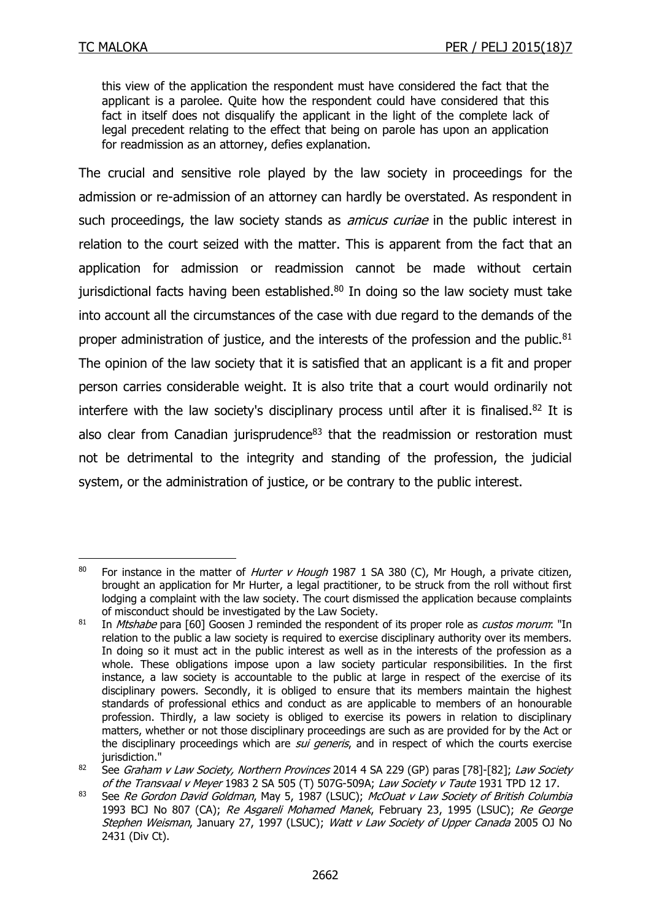<u>.</u>

this view of the application the respondent must have considered the fact that the applicant is a parolee. Quite how the respondent could have considered that this fact in itself does not disqualify the applicant in the light of the complete lack of legal precedent relating to the effect that being on parole has upon an application for readmission as an attorney, defies explanation.

The crucial and sensitive role played by the law society in proceedings for the admission or re-admission of an attorney can hardly be overstated. As respondent in such proceedings, the law society stands as *amicus curiae* in the public interest in relation to the court seized with the matter. This is apparent from the fact that an application for admission or readmission cannot be made without certain jurisdictional facts having been established. $80$  In doing so the law society must take into account all the circumstances of the case with due regard to the demands of the proper administration of justice, and the interests of the profession and the public.<sup>81</sup> The opinion of the law society that it is satisfied that an applicant is a fit and proper person carries considerable weight. It is also trite that a court would ordinarily not interfere with the law society's disciplinary process until after it is finalised.<sup>82</sup> It is also clear from Canadian jurisprudence $83$  that the readmission or restoration must not be detrimental to the integrity and standing of the profession, the judicial system, or the administration of justice, or be contrary to the public interest.

<sup>&</sup>lt;sup>80</sup> For instance in the matter of *Hurter v Hough* 1987 1 SA 380 (C), Mr Hough, a private citizen, brought an application for Mr Hurter, a legal practitioner, to be struck from the roll without first lodging a complaint with the law society. The court dismissed the application because complaints of misconduct should be investigated by the Law Society.

 $81$  In *Mtshabe* para [60] Goosen J reminded the respondent of its proper role as *custos morum*: "In relation to the public a law society is required to exercise disciplinary authority over its members. In doing so it must act in the public interest as well as in the interests of the profession as a whole. These obligations impose upon a law society particular responsibilities. In the first instance, a law society is accountable to the public at large in respect of the exercise of its disciplinary powers. Secondly, it is obliged to ensure that its members maintain the highest standards of professional ethics and conduct as are applicable to members of an honourable profession. Thirdly, a law society is obliged to exercise its powers in relation to disciplinary matters, whether or not those disciplinary proceedings are such as are provided for by the Act or the disciplinary proceedings which are sui generis, and in respect of which the courts exercise jurisdiction."

<sup>82</sup> See Graham v Law Society, Northern Provinces 2014 4 SA 229 (GP) paras [78]-[82]; Law Society of the Transvaal v Meyer 1983 2 SA 505 (T) 507G-509A; Law Society v Taute 1931 TPD 12 17.

<sup>&</sup>lt;sup>83</sup> See Re Gordon David Goldman, May 5, 1987 (LSUC); McOuat v Law Society of British Columbia 1993 BCJ No 807 (CA); Re Asgareli Mohamed Manek, February 23, 1995 (LSUC); Re George Stephen Weisman, January 27, 1997 (LSUC); Watt v Law Society of Upper Canada 2005 OJ No 2431 (Div Ct).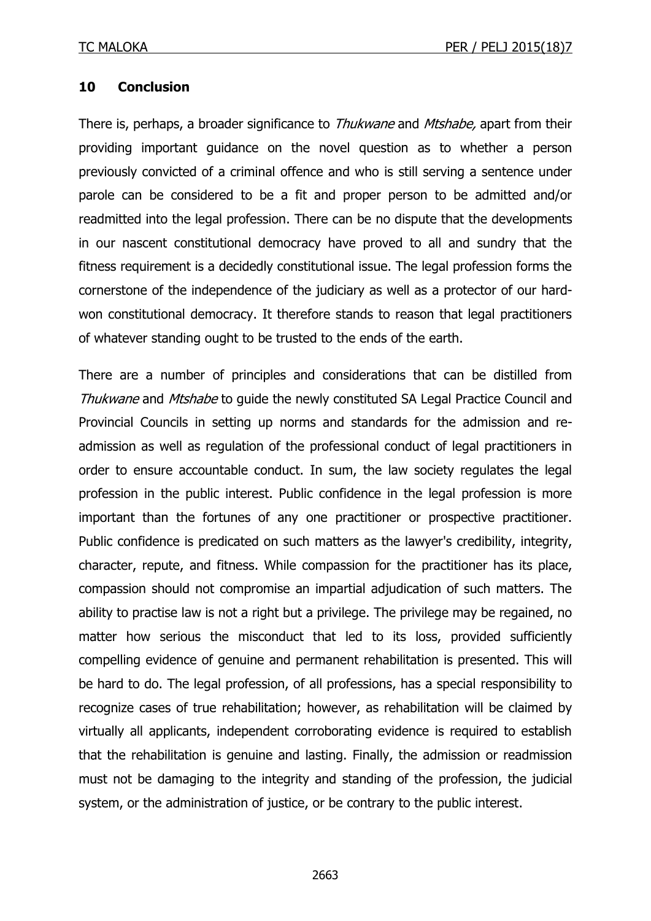#### **10 Conclusion**

There is, perhaps, a broader significance to *Thukwane* and *Mtshabe*, apart from their providing important guidance on the novel question as to whether a person previously convicted of a criminal offence and who is still serving a sentence under parole can be considered to be a fit and proper person to be admitted and/or readmitted into the legal profession. There can be no dispute that the developments in our nascent constitutional democracy have proved to all and sundry that the fitness requirement is a decidedly constitutional issue. The legal profession forms the cornerstone of the independence of the judiciary as well as a protector of our hardwon constitutional democracy. It therefore stands to reason that legal practitioners of whatever standing ought to be trusted to the ends of the earth.

There are a number of principles and considerations that can be distilled from Thukwane and Mtshabe to guide the newly constituted SA Legal Practice Council and Provincial Councils in setting up norms and standards for the admission and readmission as well as regulation of the professional conduct of legal practitioners in order to ensure accountable conduct. In sum, the law society regulates the legal profession in the public interest. Public confidence in the legal profession is more important than the fortunes of any one practitioner or prospective practitioner. Public confidence is predicated on such matters as the lawyer's credibility, integrity, character, repute, and fitness. While compassion for the practitioner has its place, compassion should not compromise an impartial adjudication of such matters. The ability to practise law is not a right but a privilege. The privilege may be regained, no matter how serious the misconduct that led to its loss, provided sufficiently compelling evidence of genuine and permanent rehabilitation is presented. This will be hard to do. The legal profession, of all professions, has a special responsibility to recognize cases of true rehabilitation; however, as rehabilitation will be claimed by virtually all applicants, independent corroborating evidence is required to establish that the rehabilitation is genuine and lasting. Finally, the admission or readmission must not be damaging to the integrity and standing of the profession, the judicial system, or the administration of justice, or be contrary to the public interest.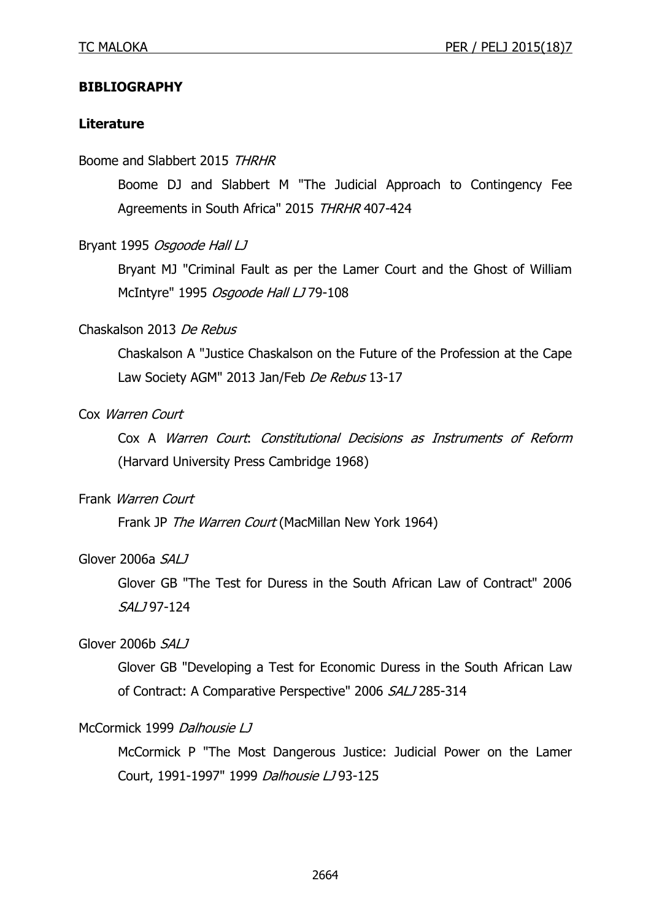#### **BIBLIOGRAPHY**

#### **Literature**

#### Boome and Slabbert 2015 THRHR

Boome DJ and Slabbert M "The Judicial Approach to Contingency Fee Agreements in South Africa" 2015 THRHR 407-424

#### Bryant 1995 Osgoode Hall LJ

Bryant MJ "Criminal Fault as per the Lamer Court and the Ghost of William McIntyre" 1995 Osgoode Hall LJ 79-108

### Chaskalson 2013 De Rebus

Chaskalson A "Justice Chaskalson on the Future of the Profession at the Cape Law Society AGM" 2013 Jan/Feb De Rebus 13-17

### Cox Warren Court

Cox A Warren Court: Constitutional Decisions as Instruments of Reform (Harvard University Press Cambridge 1968)

#### Frank Warren Court

Frank JP The Warren Court (MacMillan New York 1964)

#### Glover 2006a SALJ

Glover GB "The Test for Duress in the South African Law of Contract" 2006 SAI 197-124

### Glover 2006b SALJ

Glover GB "Developing a Test for Economic Duress in the South African Law of Contract: A Comparative Perspective" 2006 SALJ 285-314

#### McCormick 1999 Dalhousie LJ

McCormick P "The Most Dangerous Justice: Judicial Power on the Lamer Court, 1991-1997" 1999 Dalhousie LJ 93-125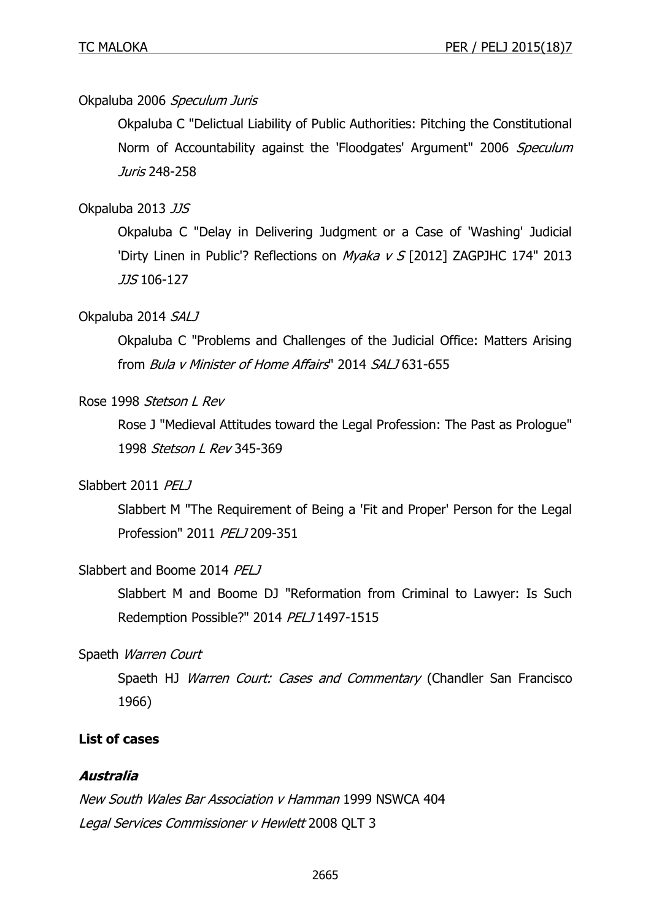#### Okpaluba 2006 Speculum Juris

Okpaluba C "Delictual Liability of Public Authorities: Pitching the Constitutional Norm of Accountability against the 'Floodgates' Argument" 2006 Speculum Juris 248-258

#### Okpaluba 2013 JJS

Okpaluba C "Delay in Delivering Judgment or a Case of 'Washing' Judicial 'Dirty Linen in Public'? Reflections on *Myaka v S* [2012] ZAGPJHC 174" 2013 JJS 106-127

#### Okpaluba 2014 SALJ

Okpaluba C "Problems and Challenges of the Judicial Office: Matters Arising from Bula v Minister of Home Affairs" 2014 SALJ 631-655

### Rose 1998 Stetson L Rev

Rose J "Medieval Attitudes toward the Legal Profession: The Past as Prologue" 1998 Stetson L Rev 345-369

### Slabbert 2011 PELJ

Slabbert M "The Requirement of Being a 'Fit and Proper' Person for the Legal Profession" 2011 PELJ 209-351

#### Slabbert and Boome 2014 PELJ

Slabbert M and Boome DJ "Reformation from Criminal to Lawyer: Is Such Redemption Possible?" 2014 PELJ 1497-1515

#### Spaeth Warren Court

Spaeth HJ Warren Court: Cases and Commentary (Chandler San Francisco 1966)

#### **List of cases**

#### **Australia**

New South Wales Bar Association v Hamman 1999 NSWCA 404 Legal Services Commissioner v Hewlett 2008 QLT 3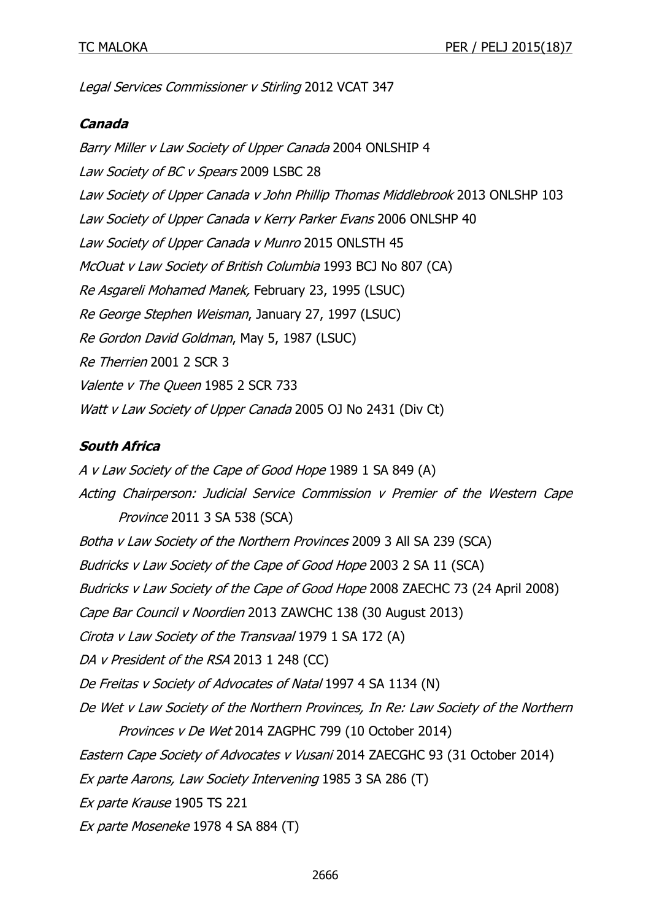Legal Services Commissioner v Stirling 2012 VCAT 347

#### **Canada**

Barry Miller v Law Society of Upper Canada 2004 ONLSHIP 4 Law Society of BC v Spears 2009 LSBC 28 [Law Society of Upper Canada v John Phillip Thomas Middlebrook](https://www.canlii.org/en/on/onlst/doc/2013/2013onlshp103/2013onlshp103.html?searchUrlHash=AAAAAQAjdW5nb3Zlcm5hYmlsaXR5IGxlZ2FsIHByYWN0aXRpb25lcnMAAAAAAQ&resultIndex=11) 2013 ONLSHP 103 Law Society of Upper Canada v Kerry Parker Evans 2006 ONLSHP 40 [Law Society of Upper Canada v Munro](https://www.canlii.org/en/on/onlst/doc/2015/2015onlsth45/2015onlsth45.html?searchUrlHash=AAAAAQAjdW5nb3Zlcm5hYmlsaXR5IGxlZ2FsIHByYWN0aXRpb25lcnMAAAAAAQ&resultIndex=15) 2015 ONLSTH 45 McOuat v Law Society of British Columbia 1993 BCJ No 807 (CA) Re Asgareli Mohamed Manek, February 23, 1995 (LSUC) Re George Stephen Weisman, January 27, 1997 (LSUC) Re Gordon David Goldman, May 5, 1987 (LSUC) Re Therrien 2001 2 SCR 3 Valente v The Queen 1985 2 SCR 733 Watt v Law Society of Upper Canada 2005 OJ No 2431 (Div Ct)

#### **South Africa**

A v Law Society of the Cape of Good Hope 1989 1 SA 849 (A) Acting Chairperson: Judicial Service Commission v Premier of the Western Cape Province 2011 3 SA 538 (SCA) Botha v Law Society of the Northern Provinces 2009 3 All SA 239 (SCA) Budricks v Law Society of the Cape of Good Hope 2003 2 SA 11 (SCA) Budricks v Law Society of the Cape of Good Hope 2008 ZAECHC 73 (24 April 2008) Cape Bar Council v Noordien 2013 ZAWCHC 138 (30 August 2013) Cirota v Law Society of the Transvaal 1979 1 SA 172 (A) DA v President of the RSA 2013 1 248 (CC) De Freitas v Society of Advocates of Natal 1997 4 SA 1134 (N) De Wet v Law Society of the Northern Provinces, In Re: Law Society of the Northern Provinces v De Wet 2014 ZAGPHC 799 (10 October 2014) Eastern Cape Society of Advocates v Vusani 2014 ZAECGHC 93 (31 October 2014) Ex parte Aarons, Law Society Intervening 1985 3 SA 286 (T) Ex parte Krause 1905 TS 221 Ex parte Moseneke 1978 4 SA 884 (T)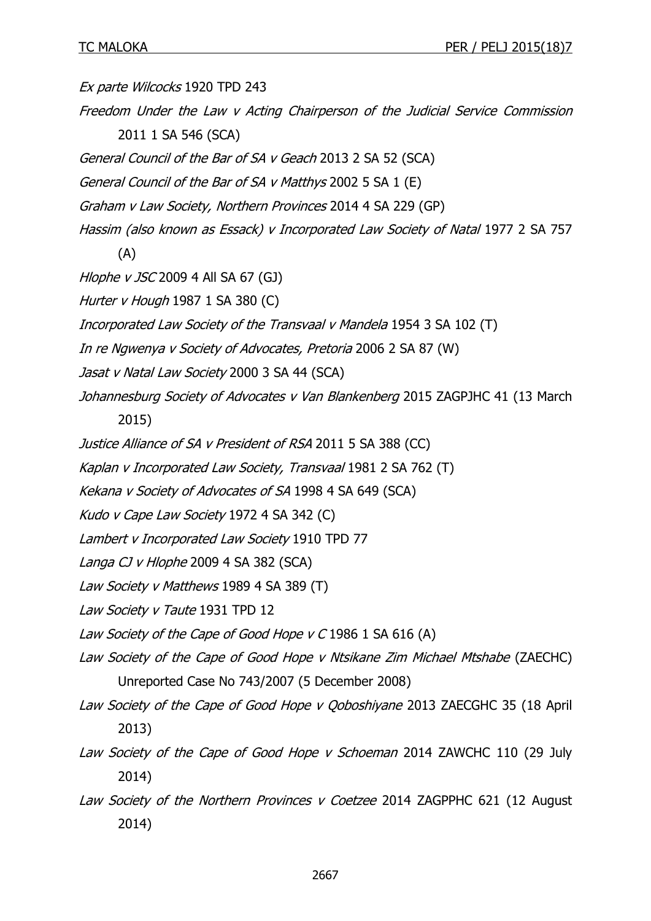Ex parte Wilcocks 1920 TPD 243 Freedom Under the Law v Acting Chairperson of the Judicial Service Commission 2011 1 SA 546 (SCA) General Council of the Bar of SA v Geach 2013 2 SA 52 (SCA) General Council of the Bar of SA v Matthys 2002 5 SA 1 (E) Graham v Law Society, Northern Provinces 2014 4 SA 229 (GP) Hassim (also known as Essack) v Incorporated Law Society of Natal 1977 2 SA 757 (A) Hlophe v JSC 2009 4 All SA 67 (GJ) Hurter v Hough 1987 1 SA 380 (C) Incorporated Law Society of the Transvaal v Mandela 1954 3 SA 102 (T) In re Ngwenya v Society of Advocates, Pretoria 2006 2 SA 87 (W) Jasat v Natal Law Society 2000 3 SA 44 (SCA) Johannesburg Society of Advocates v Van Blankenberg 2015 ZAGPJHC 41 (13 March 2015) Justice Alliance of SA v President of RSA 2011 5 SA 388 (CC) Kaplan v Incorporated Law Society, Transvaal 1981 2 SA 762 (T) Kekana v Society of Advocates of SA 1998 4 SA 649 (SCA) Kudo v Cape Law Society 1972 4 SA 342 (C) Lambert v Incorporated Law Society 1910 TPD 77 Langa CJ v Hlophe 2009 4 SA 382 (SCA) Law Society v Matthews 1989 4 SA 389 (T) Law Society v Taute 1931 TPD 12 Law Society of the Cape of Good Hope  $v C$  1986 1 SA 616 (A) Law Society of the Cape of Good Hope v Ntsikane Zim Michael Mtshabe (ZAECHC) Unreported Case No 743/2007 (5 December 2008) Law Society of the Cape of Good Hope v Qoboshiyane 2013 ZAECGHC 35 (18 April 2013) Law Society of the Cape of Good Hope v Schoeman 2014 ZAWCHC 110 (29 July 2014) Law Society of the Northern Provinces v Coetzee 2014 ZAGPPHC 621 (12 August 2014)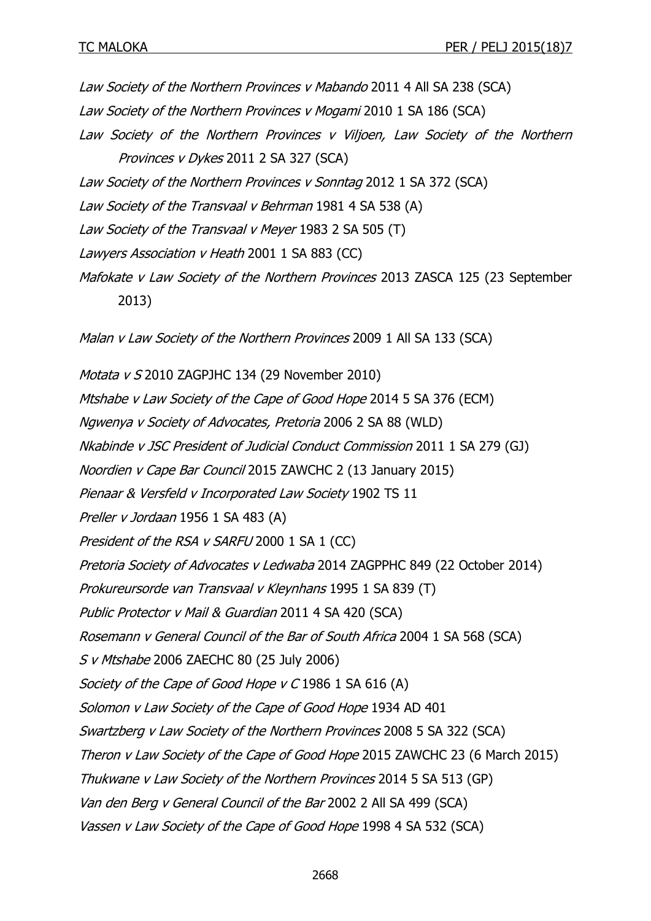Law Society of the Northern Provinces v Mabando 2011 4 All SA 238 (SCA) Law Society of the Northern Provinces v Mogami 2010 1 SA 186 (SCA) Law Society of the Northern Provinces v Viljoen, Law Society of the Northern Provinces v Dykes 2011 2 SA 327 (SCA) Law Society of the Northern Provinces v Sonntag 2012 1 SA 372 (SCA) Law Society of the Transvaal v Behrman 1981 4 SA 538 (A) Law Society of the Transvaal v Meyer 1983 2 SA 505 (T) Lawyers Association v Heath 2001 1 SA 883 (CC) Mafokate v Law Society of the Northern Provinces 2013 ZASCA 125 (23 September 2013)

Malan v Law Society of the Northern Provinces 2009 1 All SA 133 (SCA)

Motata v S 2010 ZAGPJHC 134 (29 November 2010) Mtshabe v Law Society of the Cape of Good Hope 2014 5 SA 376 (ECM) Ngwenya v Society of Advocates, Pretoria 2006 2 SA 88 (WLD) Nkabinde v JSC President of Judicial Conduct Commission 2011 1 SA 279 (GJ) Noordien v Cape Bar Council 2015 ZAWCHC 2 (13 January 2015) Pienaar & Versfeld v Incorporated Law Society 1902 TS 11 Preller v Jordaan 1956 1 SA 483 (A) President of the RSA v SARFU 2000 1 SA 1 (CC) Pretoria Society of Advocates v Ledwaba 2014 ZAGPPHC 849 (22 October 2014) Prokureursorde van Transvaal v Kleynhans 1995 1 SA 839 (T) Public Protector v Mail & Guardian 2011 4 SA 420 (SCA) Rosemann v General Council of the Bar of South Africa 2004 1 SA 568 (SCA) S v Mtshabe 2006 ZAECHC 80 (25 July 2006) Society of the Cape of Good Hope v C 1986 1 SA 616 (A) Solomon v Law Society of the Cape of Good Hope 1934 AD 401 Swartzberg v Law Society of the Northern Provinces 2008 5 SA 322 (SCA) Theron v Law Society of the Cape of Good Hope 2015 ZAWCHC 23 (6 March 2015) Thukwane v Law Society of the Northern Provinces 2014 5 SA 513 (GP) Van den Berg v General Council of the Bar 2002 2 All SA 499 (SCA) Vassen v Law Society of the Cape of Good Hope 1998 4 SA 532 (SCA)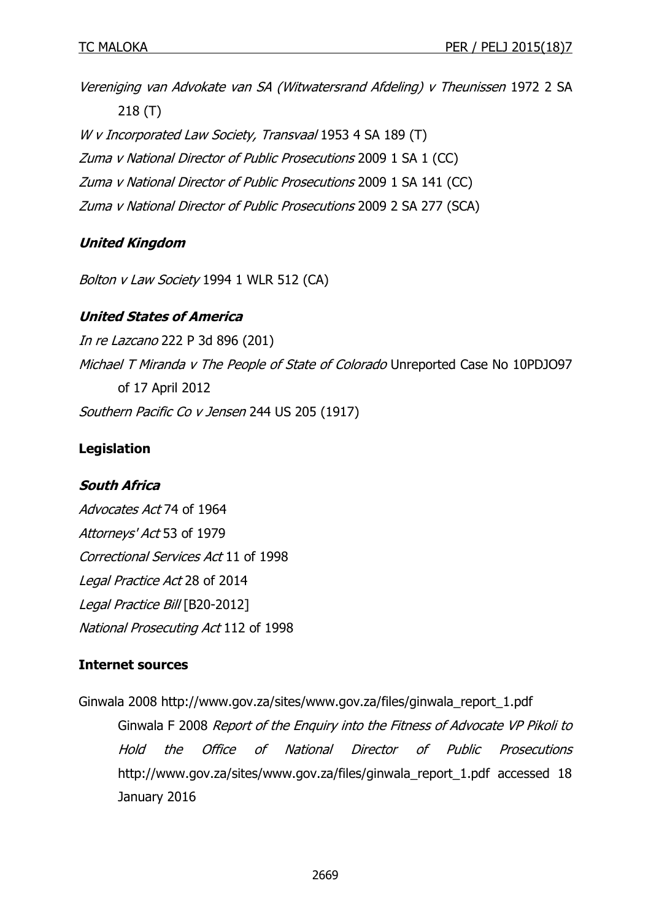Vereniging van Advokate van SA (Witwatersrand Afdeling) v Theunissen 1972 2 SA 218 (T) W v Incorporated Law Society, Transvaal 1953 4 SA 189 (T) Zuma v National Director of Public Prosecutions 2009 1 SA 1 (CC) Zuma v National Director of Public Prosecutions 2009 1 SA 141 (CC) Zuma v National Director of Public Prosecutions 2009 2 SA 277 (SCA)

# **United Kingdom**

Bolton v Law Society 1994 1 WLR 512 (CA)

### **United States of America**

In re Lazcano 222 P 3d 896 (201) Michael T Miranda v The People of State of Colorado Unreported Case No 10PDJO97 of 17 April 2012 Southern Pacific Co v Jensen 244 US 205 (1917)

# **Legislation**

# **South Africa**

Advocates Act 74 of 1964 Attorneys' Act 53 of 1979 Correctional Services Act 11 of 1998 Legal Practice Act 28 of 2014 Legal Practice Bill [B20-2012] National Prosecuting Act 112 of 1998

# **Internet sources**

Ginwala 2008 http://www.gov.za/sites/www.gov.za/files/ginwala\_report\_1.pdf Ginwala F 2008 Report of the Enquiry into the Fitness of Advocate VP Pikoli to Hold the Office of National Director of Public Prosecutions http://www.gov.za/sites/www.gov.za/files/ginwala\_report\_1.pdf accessed 18 January 2016